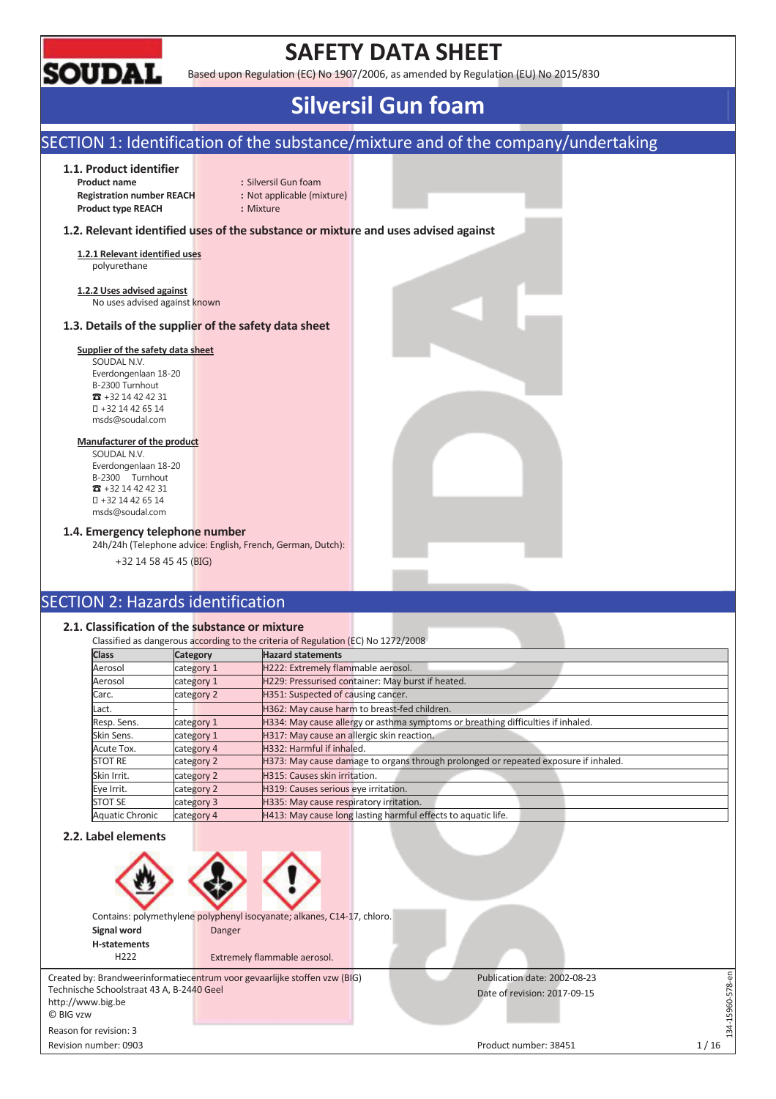

## **SAFETY DATA SHEET**

Based upon Regulation (EC) No 1907/2006, as amended by Regulation (EU) No 2015/830

## **Silversil Gun foam**

### SECTION 1: Identification of the substance/mixture and of the company/undertaking

### **1.1. Product identifier**

**Product name** : Silversil Gun foam **Registration number REACH :** Not applicable (mixture) **Product type REACH :** Mixture

### **1.2. Relevant identified uses of the substance or mixture and uses advised against**

**1.2.1 Relevant identified uses**  polyurethane

**1.2.2 Uses advised against**  No uses advised against known

### **1.3. Details of the supplier of the safety data sheet**

### **Supplier of the safety data sheet**

SOUDAL N.V. Everdongenlaan 18-20 B-2300 Turnhout  $\overline{3}$  +32 14 42 42 31 +32 14 42 65 14 msds@soudal.com

#### **Manufacturer of the product**

SOUDAL N.V. Everdongenlaan 18-20 B-2300 Turnhout  $\overline{3}$  +32 14 42 42 31 +32 14 42 65 14 msds@soudal.com

### **1.4. Emergency telephone number**

24h/24h (Telephone advice: English, French, German, Dutch):

+32 14 58 45 45 (BIG)

### SECTION 2: Hazards identification

### **2.1. Classification of the substance or mixture**

|                 |            | Classified as dangerous according to the criteria of Regulation (EC) No 1272/2008   |
|-----------------|------------|-------------------------------------------------------------------------------------|
| <b>Class</b>    | Category   | <b>Hazard statements</b>                                                            |
| Aerosol         | category 1 | H222: Extremely flammable aerosol.                                                  |
| Aerosol         | category 1 | H229: Pressurised container: May burst if heated.                                   |
| Carc.           | category 2 | H351: Suspected of causing cancer.                                                  |
| Lact.           |            | H362: May cause harm to breast-fed children.                                        |
| Resp. Sens.     | category 1 | H334: May cause allergy or asthma symptoms or breathing difficulties if inhaled.    |
| Skin Sens.      | category 1 | H317: May cause an allergic skin reaction.                                          |
| Acute Tox.      | category 4 | H332: Harmful if inhaled.                                                           |
| <b>STOT RE</b>  | category 2 | H373: May cause damage to organs through prolonged or repeated exposure if inhaled. |
| Skin Irrit.     | category 2 | H315: Causes skin irritation.                                                       |
| Eve Irrit.      | category 2 | H319: Causes serious eye irritation.                                                |
| <b>STOT SE</b>  | category 3 | H335: May cause respiratory irritation.                                             |
| Aquatic Chronic | category 4 | H413: May cause long lasting harmful effects to aquatic life.                       |

### **2.2. Label elements**



Publication date: 2002-08-23 Date of revision: 2017-09-15

http://www.big.be © BIG vzw Reason for revision: 3

Revision number: 0903 1/16

134-15960-578-en

34-15960-578-en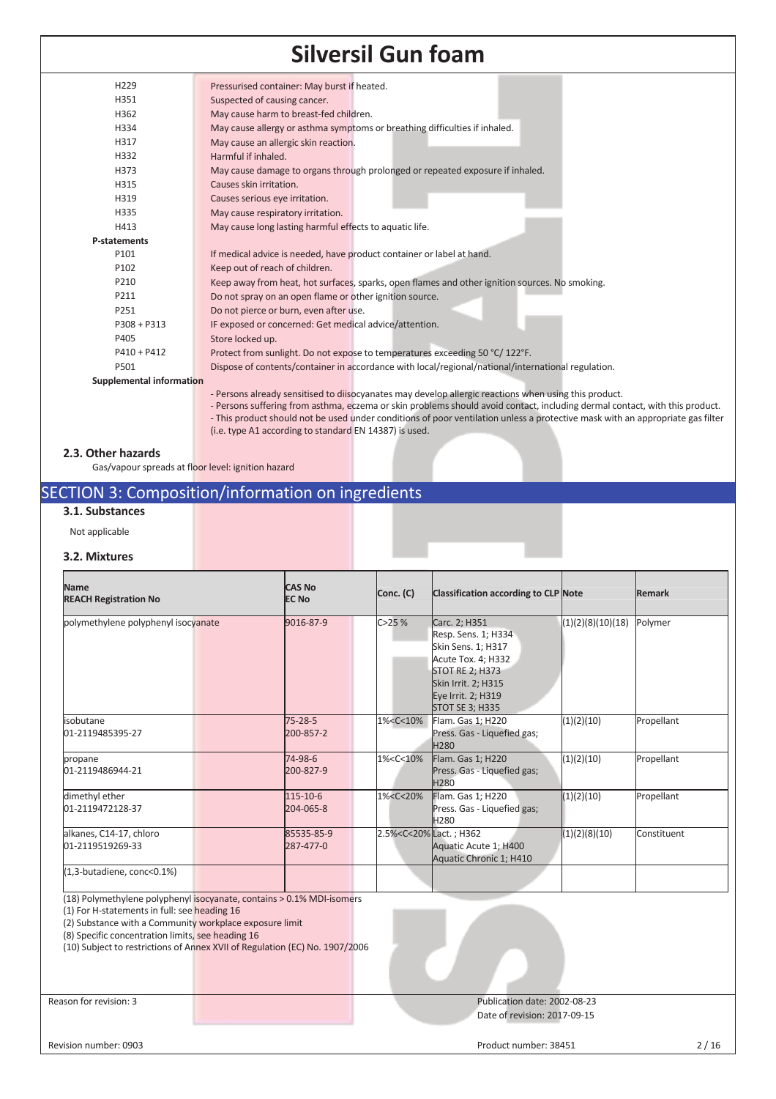| H229                            | Pressurised container: May burst if heated.                                                        |
|---------------------------------|----------------------------------------------------------------------------------------------------|
| H351                            | Suspected of causing cancer.                                                                       |
| H362                            | May cause harm to breast-fed children.                                                             |
| H334                            | May cause allergy or asthma symptoms or breathing difficulties if inhaled.                         |
| H317                            | May cause an allergic skin reaction.                                                               |
| H332                            | Harmful if inhaled.                                                                                |
| H373                            | May cause damage to organs through prolonged or repeated exposure if inhaled.                      |
| H315                            | Causes skin irritation.                                                                            |
| H319                            | Causes serious eye irritation.                                                                     |
| H335                            | May cause respiratory irritation.                                                                  |
| H413                            | May cause long lasting harmful effects to aquatic life.                                            |
| <b>P-statements</b>             |                                                                                                    |
| P101                            | If medical advice is needed, have product container or label at hand.                              |
| P102                            | Keep out of reach of children.                                                                     |
| P210                            | Keep away from heat, hot surfaces, sparks, open flames and other ignition sources. No smoking.     |
| P211                            | Do not spray on an open flame or other ignition source.                                            |
| P251                            | Do not pierce or burn, even after use.                                                             |
| $P308 + P313$                   | IF exposed or concerned: Get medical advice/attention.                                             |
| P405                            | Store locked up.                                                                                   |
| $P410 + P412$                   | Protect from sunlight. Do not expose to temperatures exceeding 50 °C/122°F.                        |
| P501                            | Dispose of contents/container in accordance with local/regional/national/international regulation. |
| <b>Supplemental information</b> |                                                                                                    |

- Persons already sensitised to diisocyanates may develop allergic reactions when using this product.
- Persons suffering from asthma, eczema or skin problems should avoid contact, including dermal contact, with this product. - This product should not be used under conditions of poor ventilation unless a protective mask with an appropriate gas filter (i.e. type A1 according to standard EN 14387) is used.

### **2.3. Other hazards**

Gas/vapour spreads at floor level: ignition hazard

### SECTION 3: Composition/information on ingredients

### **3.1. Substances**

Not applicable

### **3.2. Mixtures**

| <b>Name</b><br><b>REACH Registration No</b> |  | <b>CAS No</b><br><b>EC No</b> |  | Conc. (C)                                                                                                                                           | <b>Classification according to CLP Note</b>                                                                                                                                       |                   | <b>Remark</b> |
|---------------------------------------------|--|-------------------------------|--|-----------------------------------------------------------------------------------------------------------------------------------------------------|-----------------------------------------------------------------------------------------------------------------------------------------------------------------------------------|-------------------|---------------|
| polymethylene polyphenyl isocyanate         |  | 9016-87-9                     |  | C > 25%                                                                                                                                             | Carc. 2; H351<br>Resp. Sens. 1; H334<br>Skin Sens. 1; H317<br>Acute Tox. 4; H332<br><b>STOT RE 2; H373</b><br>Skin Irrit. 2; H315<br>Eye Irrit. 2; H319<br><b>STOT SE 3; H335</b> | (1)(2)(8)(10)(18) | Polymer       |
| isobutane<br>01-2119485395-27               |  | 75-28-5<br>200-857-2          |  | 1% <c<10%< td=""><td>Flam. Gas 1; H220<br/>Press. Gas - Liquefied gas;<br/><b>H280</b></td><td>(1)(2)(10)</td><td>Propellant</td></c<10%<>          | Flam. Gas 1; H220<br>Press. Gas - Liquefied gas;<br><b>H280</b>                                                                                                                   | (1)(2)(10)        | Propellant    |
| propane<br>01-2119486944-21                 |  | 74-98-6<br>200-827-9          |  | 1% <c<10%< td=""><td>Flam. Gas 1; H220<br/>Press. Gas - Liquefied gas;<br/>H280</td><td>(1)(2)(10)</td><td>Propellant</td></c<10%<>                 | Flam. Gas 1; H220<br>Press. Gas - Liquefied gas;<br>H280                                                                                                                          | (1)(2)(10)        | Propellant    |
| dimethyl ether<br>01-2119472128-37          |  | 115-10-6<br>204-065-8         |  | 1% <c<20%< td=""><td>Flam. Gas 1; H220<br/>Press. Gas - Liquefied gas;<br/>H<sub>280</sub></td><td>(1)(2)(10)</td><td>Propellant</td></c<20%<>      | Flam. Gas 1; H220<br>Press. Gas - Liquefied gas;<br>H <sub>280</sub>                                                                                                              | (1)(2)(10)        | Propellant    |
| alkanes, C14-17, chloro<br>01-2119519269-33 |  | 85535-85-9<br>287-477-0       |  | 2.5% <c<20%lact.; h362<="" td=""><td>Aquatic Acute 1; H400<br/>Aquatic Chronic 1; H410</td><td>(1)(2)(8)(10)</td><td>Constituent</td></c<20%lact.;> | Aquatic Acute 1; H400<br>Aquatic Chronic 1; H410                                                                                                                                  | (1)(2)(8)(10)     | Constituent   |
| (1,3-butadiene, conc<0.1%)                  |  |                               |  |                                                                                                                                                     |                                                                                                                                                                                   |                   |               |

(18) Polymethylene polyphenyl isocyanate, contains > 0.1% MDI-isomers

(1) For H-statements in full: see heading 16

(2) Substance with a Community workplace exposure limit

(8) Specific concentration limits, see heading 16

(10) Subject to restrictions of Annex XVII of Regulation (EC) No. 1907/2006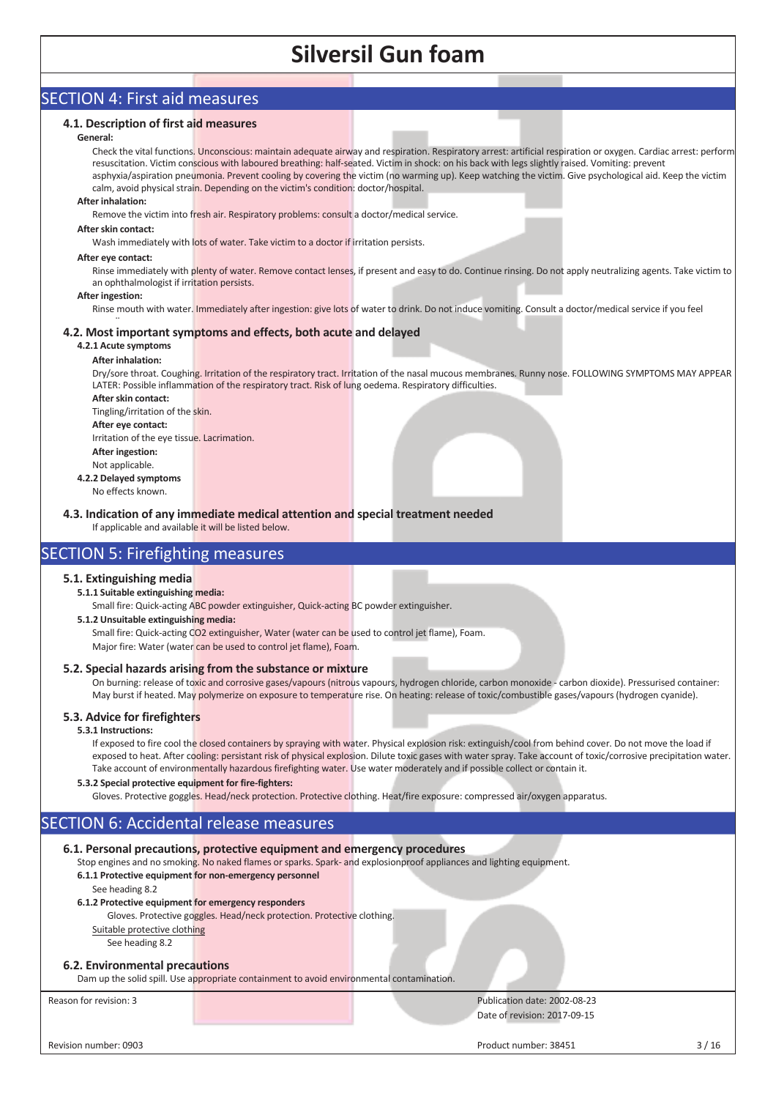### SECTION 4: First aid measures

### **4.1. Description of first aid measures**

#### **General:**

Check the vital functions. Unconscious: maintain adequate airway and respiration. Respiratory arrest: artificial respiration or oxygen. Cardiac arrest: perform resuscitation. Victim conscious with laboured breathing: half-seated. Victim in shock: on his back with legs slightly raised. Vomiting: prevent asphyxia/aspiration pneumonia. Prevent cooling by covering the victim (no warming up). Keep watching the victim. Give psychological aid. Keep the victim calm, avoid physical strain. Depending on the victim's condition: doctor/hospital.

#### **After inhalation:**

Remove the victim into fresh air. Respiratory problems: consult a doctor/medical service.

#### **After skin contact:**

Wash immediately with lots of water. Take victim to a doctor if irritation persists.

#### **After eye contact:**

Rinse immediately with plenty of water. Remove contact lenses, if present and easy to do. Continue rinsing. Do not apply neutralizing agents. Take victim to an ophthalmologist if irritation persists.

#### **After ingestion:**

Rinse mouth with water. Immediately after ingestion: give lots of water to drink. Do not induce vomiting. Consult a doctor/medical service if you feel

#### $\ddot{\phantom{1}}$ **4.2. Most important symptoms and effects, both acute and delayed**

### **4.2.1 Acute symptoms**

### **After inhalation:**

Dry/sore throat. Coughing. Irritation of the respiratory tract. Irritation of the nasal mucous membranes. Runny nose. FOLLOWING SYMPTOMS MAY APPEAR LATER: Possible inflammation of the respiratory tract. Risk of lung oedema. Respiratory difficulties.

**After skin contact:**  Tingling/irritation of the skin. **After eye contact:** 

Irritation of the eye tissue. Lacrimation. **After ingestion:** 

- Not applicable.
- **4.2.2 Delayed symptoms**  No effects known.

**4.3. Indication of any immediate medical attention and special treatment needed**

If applicable and available it will be listed below.

### SECTION 5: Firefighting measures

### **5.1. Extinguishing media**

### **5.1.1 Suitable extinguishing media:**

Small fire: Quick-acting ABC powder extinguisher, Quick-acting BC powder extinguisher.

### **5.1.2 Unsuitable extinguishing media:**

Small fire: Quick-acting CO2 extinguisher, Water (water can be used to control jet flame), Foam. Major fire: Water (water can be used to control jet flame), Foam.

### **5.2. Special hazards arising from the substance or mixture**

On burning: release of toxic and corrosive gases/vapours (nitrous vapours, hydrogen chloride, carbon monoxide - carbon dioxide). Pressurised container: May burst if heated. May polymerize on exposure to temperature rise. On heating: release of toxic/combustible gases/vapours (hydrogen cyanide).

### **5.3. Advice for firefighters**

### **5.3.1 Instructions:**

If exposed to fire cool the closed containers by spraying with water. Physical explosion risk: extinguish/cool from behind cover. Do not move the load if exposed to heat. After cooling: persistant risk of physical explosion. Dilute toxic gases with water spray. Take account of toxic/corrosive precipitation water. Take account of environmentally hazardous firefighting water. Use water moderately and if possible collect or contain it.

### **5.3.2 Special protective equipment for fire-fighters:**

Gloves. Protective goggles. Head/neck protection. Protective clothing. Heat/fire exposure: compressed air/oxygen apparatus.

### SECTION 6: Accidental release measures

### **6.1. Personal precautions, protective equipment and emergency procedures**

Stop engines and no smoking. No naked flames or sparks. Spark- and explosionproof appliances and lighting equipment.

### **6.1.1 Protective equipment for non-emergency personnel**

### See heading 8.2

### **6.1.2 Protective equipment for emergency responders**

Gloves. Protective goggles. Head/neck protection. Protective clothing.

### Suitable protective clothing

See heading 8.2

### **6.2. Environmental precautions**

Dam up the solid spill. Use appropriate containment to avoid environmental contamination.

Reason for revision: 3 Publication date: 2002-08-23 Date of revision: 2017-09-15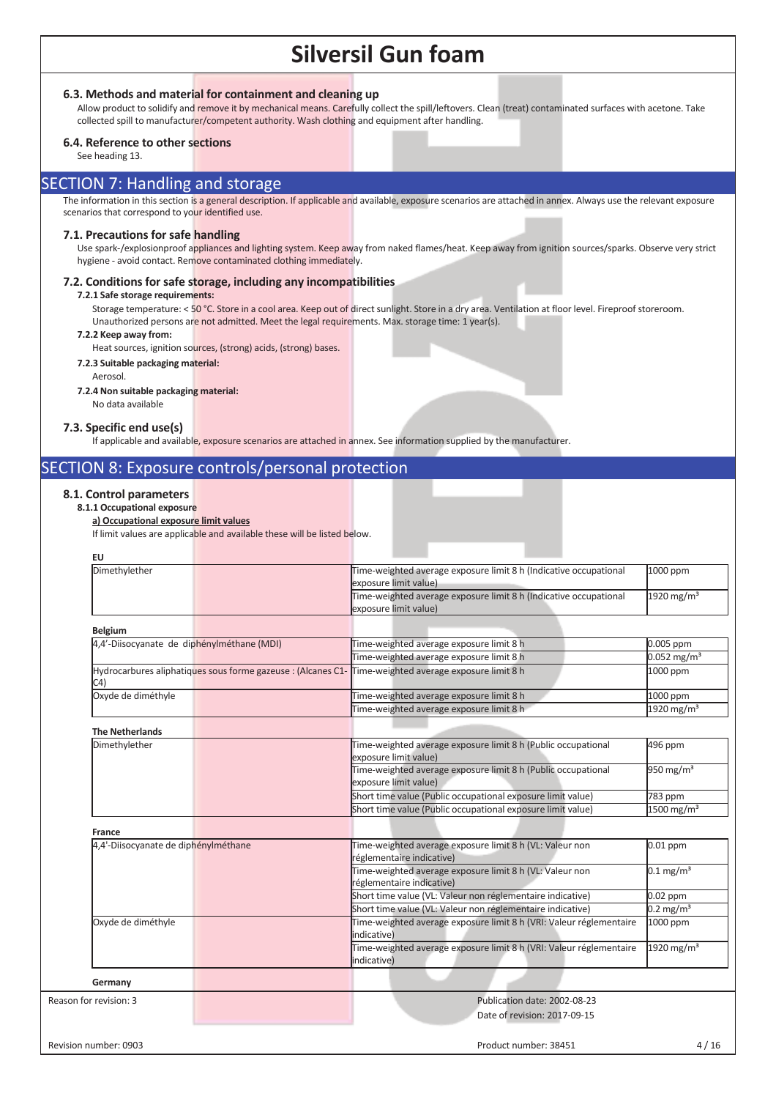**6.3. Methods and material for containment and cleaning up**

Allow product to solidify and remove it by mechanical means. Carefully collect the spill/leftovers. Clean (treat) contaminated surfaces with acetone. Take collected spill to manufacturer/competent authority. Wash clothing and equipment after handling.

### **6.4. Reference to other sections**

See heading 13.

### SECTION 7: Handling and storage

The information in this section is a general description. If applicable and available, exposure scenarios are attached in annex. Always use the relevant exposure scenarios that correspond to your identified use.

### **7.1. Precautions for safe handling**

Use spark-/explosionproof appliances and lighting system. Keep away from naked flames/heat. Keep away from ignition sources/sparks. Observe very strict hygiene - avoid contact. Remove contaminated clothing immediately.

### **7.2. Conditions for safe storage, including any incompatibilities**

#### **7.2.1 Safe storage requirements:**

Storage temperature: < 50 °C. Store in a cool area. Keep out of direct sunlight. Store in a dry area. Ventilation at floor level. Fireproof storeroom. Unauthorized persons are not admitted. Meet the legal requirements. Max. storage time: 1 year(s).

#### **7.2.2 Keep away from:**

Heat sources, ignition sources, (strong) acids, (strong) bases.

**7.2.3 Suitable packaging material:**  Aerosol.

### **7.2.4 Non suitable packaging material:**

No data available

### **7.3. Specific end use(s)**

If applicable and available, exposure scenarios are attached in annex. See information supplied by the manufacturer.

### SECTION 8: Exposure controls/personal protection

### **8.1. Control parameters**

### **8.1.1 Occupational exposure**

### **a) Occupational exposure limit values**

If limit values are applicable and available these will be listed below.

| Dimethylether                              | Time-weighted average exposure limit 8 h (Indicative occupational<br>exposure limit value)            | 1000 ppm                  |
|--------------------------------------------|-------------------------------------------------------------------------------------------------------|---------------------------|
|                                            | Time-weighted average exposure limit 8 h (Indicative occupational<br>exposure limit value)            | 1920 mg/m <sup>3</sup>    |
| <b>Belgium</b>                             |                                                                                                       |                           |
| 4,4'-Diisocyanate de diphénylméthane (MDI) | Time-weighted average exposure limit 8 h                                                              | 0.005 ppm                 |
|                                            | Time-weighted average exposure limit 8 h                                                              | $0.052$ mg/m <sup>3</sup> |
| C <sub>4</sub>                             | Hydrocarbures aliphatiques sous forme gazeuse : (Alcanes C1- Time-weighted average exposure limit 8 h | 1000 ppm                  |
| Oxyde de diméthyle                         | Time-weighted average exposure limit 8 h                                                              | 1000 ppm                  |
|                                            | Time-weighted average exposure limit 8 h                                                              | 1920 mg/m <sup>3</sup>    |
| <b>The Netherlands</b>                     |                                                                                                       |                           |
| Dimethylether                              | Time-weighted average exposure limit 8 h (Public occupational<br>exposure limit value)                | 496 ppm                   |
|                                            | Time-weighted average exposure limit 8 h (Public occupational<br>exposure limit value)                | 950 mg/m $3$              |
|                                            | Short time value (Public occupational exposure limit value)                                           | 783 ppm                   |
|                                            | Short time value (Public occupational exposure limit value)                                           | $1500$ mg/m <sup>3</sup>  |
| <b>France</b>                              |                                                                                                       |                           |
| 4,4'-Diisocyanate de diphénylméthane       | Time-weighted average exposure limit 8 h (VL: Valeur non<br>réglementaire indicative)                 | $0.01$ ppm                |
|                                            | Time-weighted average exposure limit 8 h (VL: Valeur non<br>réglementaire indicative)                 | $0.1 \,\mathrm{mg/m^3}$   |
|                                            | Short time value (VL: Valeur non réglementaire indicative)                                            | $0.02$ ppm                |
|                                            | Short time value (VL: Valeur non réglementaire indicative)                                            | $0.2 \,\mathrm{mg/m^3}$   |
| Oxyde de diméthyle                         | Time-weighted average exposure limit 8 h (VRI: Valeur réglementaire<br>indicative)                    | 1000 ppm                  |
|                                            | Time-weighted average exposure limit 8 h (VRI: Valeur réglementaire<br>indicative)                    | 1920 mg/m $3$             |
| Germany                                    |                                                                                                       |                           |
| Reason for revision: 3                     | Publication date: 2002-08-23                                                                          |                           |
|                                            | Date of revision: 2017-09-15                                                                          |                           |
|                                            |                                                                                                       |                           |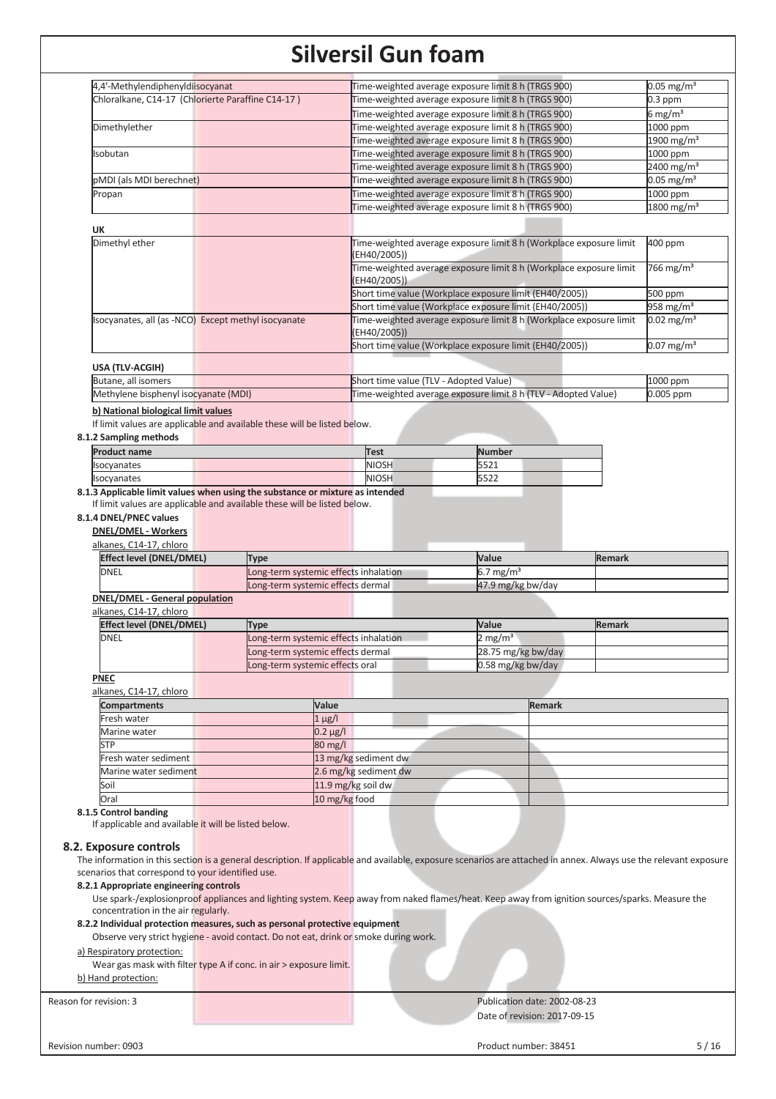| 4,4'-Methylendiphenyldiisocyanat                                                     |                                       |                                        |                                                                                                                                                                   |                          |
|--------------------------------------------------------------------------------------|---------------------------------------|----------------------------------------|-------------------------------------------------------------------------------------------------------------------------------------------------------------------|--------------------------|
|                                                                                      |                                       |                                        | Time-weighted average exposure limit 8 h (TRGS 900)                                                                                                               | $0.05$ mg/m <sup>3</sup> |
| Chloralkane, C14-17 (Chlorierte Paraffine C14-17)                                    |                                       |                                        | Time-weighted average exposure limit 8 h (TRGS 900)                                                                                                               | $0.3$ ppm                |
|                                                                                      |                                       |                                        | Time-weighted average exposure limit 8 h (TRGS 900)                                                                                                               | 6 mg/m <sup>3</sup>      |
| Dimethylether                                                                        |                                       |                                        | Time-weighted average exposure limit 8 h (TRGS 900)                                                                                                               | 1000 ppm                 |
|                                                                                      |                                       |                                        | Time-weighted average exposure limit 8 h (TRGS 900)                                                                                                               | 1900 mg/m <sup>3</sup>   |
| Isobutan                                                                             |                                       |                                        | Time-weighted average exposure limit 8 h (TRGS 900)                                                                                                               | 1000 ppm                 |
|                                                                                      |                                       |                                        | Time-weighted average exposure limit 8 h (TRGS 900)                                                                                                               | 2400 mg/m <sup>3</sup>   |
|                                                                                      |                                       |                                        |                                                                                                                                                                   | $0.05$ mg/m <sup>3</sup> |
| pMDI (als MDI berechnet)                                                             |                                       |                                        | Time-weighted average exposure limit 8 h (TRGS 900)                                                                                                               |                          |
| Propan                                                                               |                                       |                                        | Time-weighted average exposure limit 8 h (TRGS 900)                                                                                                               | 1000 ppm                 |
|                                                                                      |                                       |                                        | Time-weighted average exposure limit 8 h (TRGS 900)                                                                                                               | $1800 \,\mathrm{mg/m^3}$ |
| <b>UK</b>                                                                            |                                       |                                        |                                                                                                                                                                   |                          |
| Dimethyl ether                                                                       |                                       |                                        | Time-weighted average exposure limit 8 h (Workplace exposure limit                                                                                                | 400 ppm                  |
|                                                                                      |                                       | (EH40/2005))                           |                                                                                                                                                                   |                          |
|                                                                                      |                                       |                                        | Time-weighted average exposure limit 8 h (Workplace exposure limit                                                                                                | 766 mg/m <sup>3</sup>    |
|                                                                                      |                                       | (EH40/2005))                           |                                                                                                                                                                   |                          |
|                                                                                      |                                       |                                        | Short time value (Workplace exposure limit (EH40/2005))                                                                                                           | 500 ppm                  |
|                                                                                      |                                       |                                        | Short time value (Workplace exposure limit (EH40/2005))                                                                                                           | 958 mg/m <sup>3</sup>    |
|                                                                                      |                                       |                                        |                                                                                                                                                                   |                          |
| Isocyanates, all (as -NCO) Except methyl isocyanate                                  |                                       |                                        | Time-weighted average exposure limit 8 h (Workplace exposure limit                                                                                                | $0.02 \,\mathrm{mg/m^3}$ |
|                                                                                      |                                       | (EH40/2005))                           |                                                                                                                                                                   |                          |
|                                                                                      |                                       |                                        | Short time value (Workplace exposure limit (EH40/2005))                                                                                                           | $0.07 \,\mathrm{mg/m^3}$ |
| USA (TLV-ACGIH)                                                                      |                                       |                                        |                                                                                                                                                                   |                          |
| Butane, all isomers                                                                  |                                       | Short time value (TLV - Adopted Value) |                                                                                                                                                                   | 1000 ppm                 |
|                                                                                      |                                       |                                        |                                                                                                                                                                   |                          |
| Methylene bisphenyl isocyanate (MDI)                                                 |                                       |                                        | Time-weighted average exposure limit 8 h (TLV - Adopted Value)                                                                                                    | 0.005 ppm                |
| b) National biological limit values                                                  |                                       |                                        |                                                                                                                                                                   |                          |
| If limit values are applicable and available these will be listed below.             |                                       |                                        |                                                                                                                                                                   |                          |
| 8.1.2 Sampling methods                                                               |                                       |                                        |                                                                                                                                                                   |                          |
| <b>Product name</b>                                                                  |                                       | Test                                   | <b>Number</b>                                                                                                                                                     |                          |
|                                                                                      |                                       | <b>NIOSH</b>                           | 5521                                                                                                                                                              |                          |
| Isocyanates                                                                          |                                       |                                        |                                                                                                                                                                   |                          |
| Isocyanates                                                                          |                                       | <b>NIOSH</b>                           | 5522                                                                                                                                                              |                          |
| alkanes, C14-17, chloro<br><b>Effect level (DNEL/DMEL)</b>                           | <b>Type</b>                           |                                        | Value                                                                                                                                                             | <b>Remark</b>            |
| <b>DNEL</b>                                                                          | Long-term systemic effects inhalation |                                        | 6.7 mg/m <sup>3</sup>                                                                                                                                             |                          |
|                                                                                      | Long-term systemic effects dermal     |                                        | 47.9 mg/kg bw/day                                                                                                                                                 |                          |
|                                                                                      |                                       |                                        |                                                                                                                                                                   |                          |
|                                                                                      |                                       |                                        |                                                                                                                                                                   |                          |
| <b>DNEL/DMEL - General population</b>                                                |                                       |                                        |                                                                                                                                                                   |                          |
| alkanes, C14-17, chloro                                                              |                                       |                                        |                                                                                                                                                                   |                          |
| <b>Effect level (DNEL/DMEL)</b>                                                      | <b>Type</b>                           |                                        | Value                                                                                                                                                             | <b>Remark</b>            |
| <b>DNEL</b>                                                                          | Long-term systemic effects inhalation |                                        | 2 mg/m <sup>3</sup>                                                                                                                                               |                          |
|                                                                                      | Long-term systemic effects dermal     |                                        | 28.75 mg/kg bw/day                                                                                                                                                |                          |
|                                                                                      | Long-term systemic effects oral       |                                        | 0.58 mg/kg bw/day                                                                                                                                                 |                          |
| <b>PNEC</b>                                                                          |                                       |                                        |                                                                                                                                                                   |                          |
| alkanes, C14-17, chloro                                                              |                                       |                                        |                                                                                                                                                                   |                          |
| <b>Compartments</b>                                                                  | Value                                 |                                        | <b>Remark</b>                                                                                                                                                     |                          |
|                                                                                      |                                       |                                        |                                                                                                                                                                   |                          |
| Fresh water                                                                          |                                       | $1 \mu g/l$                            |                                                                                                                                                                   |                          |
| Marine water                                                                         |                                       | $0.2 \mu g / I$                        |                                                                                                                                                                   |                          |
| <b>STP</b>                                                                           |                                       | $80 \text{ mg/l}$                      |                                                                                                                                                                   |                          |
| Fresh water sediment                                                                 |                                       | 13 mg/kg sediment dw                   |                                                                                                                                                                   |                          |
| Marine water sediment                                                                |                                       | 2.6 mg/kg sediment dw                  |                                                                                                                                                                   |                          |
| Soil                                                                                 |                                       | 11.9 mg/kg soil dw                     |                                                                                                                                                                   |                          |
| Oral                                                                                 |                                       | 10 mg/kg food                          |                                                                                                                                                                   |                          |
| 8.1.5 Control banding                                                                |                                       |                                        |                                                                                                                                                                   |                          |
| If applicable and available it will be listed below.                                 |                                       |                                        |                                                                                                                                                                   |                          |
|                                                                                      |                                       |                                        |                                                                                                                                                                   |                          |
|                                                                                      |                                       |                                        |                                                                                                                                                                   |                          |
|                                                                                      |                                       |                                        | The information in this section is a general description. If applicable and available, exposure scenarios are attached in annex. Always use the relevant exposure |                          |
| scenarios that correspond to your identified use.                                    |                                       |                                        |                                                                                                                                                                   |                          |
| 8.2.1 Appropriate engineering controls                                               |                                       |                                        |                                                                                                                                                                   |                          |
| 8.2. Exposure controls                                                               |                                       |                                        |                                                                                                                                                                   |                          |
|                                                                                      |                                       |                                        | Use spark-/explosionproof appliances and lighting system. Keep away from naked flames/heat. Keep away from ignition sources/sparks. Measure the                   |                          |
| concentration in the air regularly.                                                  |                                       |                                        |                                                                                                                                                                   |                          |
| 8.2.2 Individual protection measures, such as personal protective equipment          |                                       |                                        |                                                                                                                                                                   |                          |
| Observe very strict hygiene - avoid contact. Do not eat, drink or smoke during work. |                                       |                                        |                                                                                                                                                                   |                          |
| a) Respiratory protection:                                                           |                                       |                                        |                                                                                                                                                                   |                          |
| Wear gas mask with filter type A if conc. in air > exposure limit.                   |                                       |                                        |                                                                                                                                                                   |                          |
| b) Hand protection:                                                                  |                                       |                                        |                                                                                                                                                                   |                          |
|                                                                                      |                                       |                                        |                                                                                                                                                                   |                          |
|                                                                                      |                                       |                                        | Publication date: 2002-08-23                                                                                                                                      |                          |
| Reason for revision: 3                                                               |                                       |                                        |                                                                                                                                                                   |                          |
|                                                                                      |                                       |                                        | Date of revision: 2017-09-15                                                                                                                                      |                          |
| Revision number: 0903                                                                |                                       |                                        | Product number: 38451                                                                                                                                             | $5/16$                   |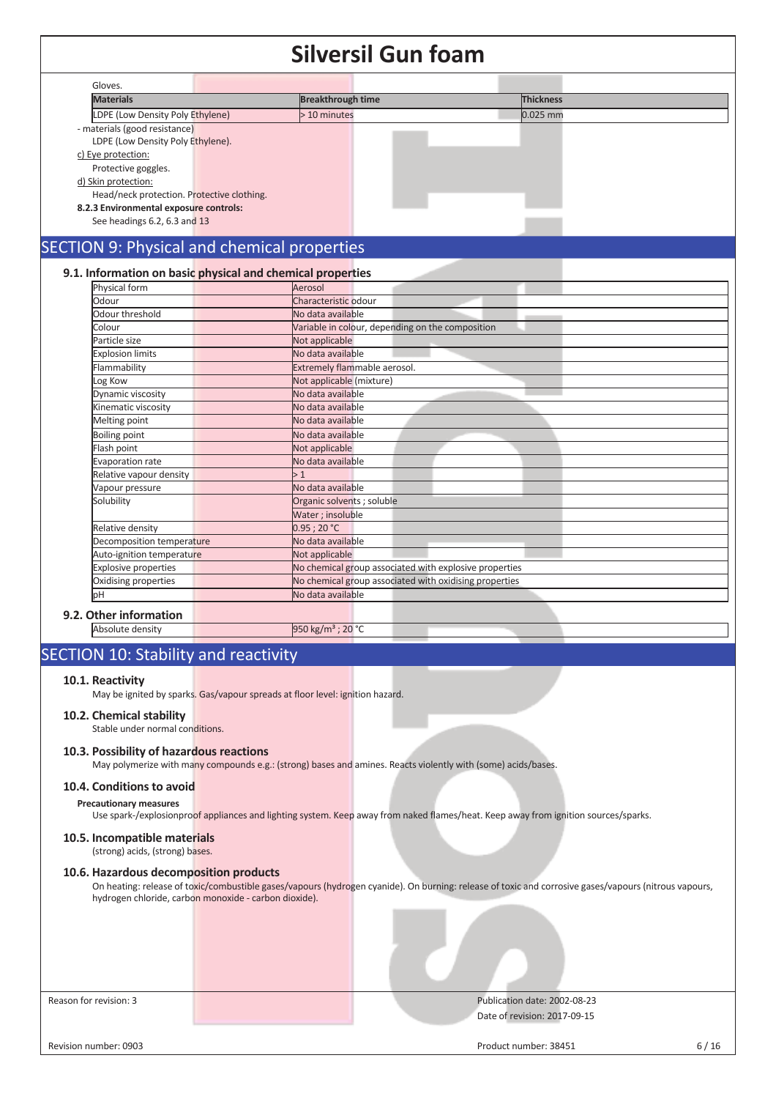|                                            | JIIVEI JII UUII IUAIII                                     |           |
|--------------------------------------------|------------------------------------------------------------|-----------|
| Gloves.                                    |                                                            |           |
| <b>Materials</b>                           | <b>Breakthrough time</b>                                   | Thickness |
| LDPE (Low Density Poly Ethylene)           | > 10 minutes                                               | 0.025 mm  |
| - materials (good resistance)              |                                                            |           |
| LDPE (Low Density Poly Ethylene).          |                                                            |           |
| c) Eye protection:                         |                                                            |           |
| Protective goggles.                        |                                                            |           |
| d) Skin protection:                        |                                                            |           |
| Head/neck protection. Protective clothing. |                                                            |           |
| 8.2.3 Environmental exposure controls:     |                                                            |           |
| See headings 6.2, 6.3 and 13               |                                                            |           |
|                                            |                                                            |           |
|                                            | SECTION 9: Physical and chemical properties                |           |
|                                            |                                                            |           |
|                                            | 9.1. Information on basic physical and chemical properties |           |
| Physical form                              | Aerosol                                                    |           |
| Odour                                      | Characteristic odour                                       |           |
| Odour threshold                            | No data available                                          |           |
| Colour                                     | Variable in colour, depending on the composition           |           |
| Particle size                              | Not applicable                                             |           |
| <b>Explosion limits</b>                    | No data available                                          |           |
| Flammability                               | Extremely flammable aerosol.                               |           |
| Log Kow                                    | Not applicable (mixture)                                   |           |
| Dynamic viscosity                          | No data available                                          |           |
| Kinematic viscosity                        | No data available                                          |           |
| Melting point                              | No data available                                          |           |
| <b>Boiling point</b>                       | No data available                                          |           |
| Flash point                                | Not applicable                                             |           |
| Evaporation rate                           | No data available                                          |           |
| Relative vapour density                    | >1                                                         |           |
| Vapour pressure                            | No data available                                          |           |
| Solubility                                 | Organic solvents ; soluble                                 |           |
|                                            | Water; insoluble                                           |           |
| Relative density                           | 0.95:20 °C                                                 |           |
| Decomposition temperature                  | No data available                                          |           |
| Auto-ignition temperature                  | Not applicable                                             |           |
| <b>Explosive properties</b>                | No chemical group associated with explosive properties     |           |
| Oxidising properties                       | No chemical group associated with oxidising properties     |           |
| þН                                         | No data available                                          |           |
| 9.2. Other information                     |                                                            |           |
| Absolute density                           | 950 kg/m <sup>3</sup> ; 20 °C                              |           |
|                                            |                                                            |           |

### SECTION 10: Stability and reactivity

### **10.1. Reactivity**

May be ignited by sparks. Gas/vapour spreads at floor level: ignition hazard.

### **10.2. Chemical stability**

Stable under normal conditions.

### **10.3. Possibility of hazardous reactions**

May polymerize with many compounds e.g.: (strong) bases and amines. Reacts violently with (some) acids/bases.

### **10.4. Conditions to avoid**

**Precautionary measures** 

Use spark-/explosionproof appliances and lighting system. Keep away from naked flames/heat. Keep away from ignition sources/sparks.

### **10.5. Incompatible materials**

(strong) acids, (strong) bases.

### **10.6. Hazardous decomposition products**

On heating: release of toxic/combustible gases/vapours (hydrogen cyanide). On burning: release of toxic and corrosive gases/vapours (nitrous vapours, hydrogen chloride, carbon monoxide - carbon dioxide).

Reason for revision: 3 Publication date: 2002-08-23 Date of revision: 2017-09-15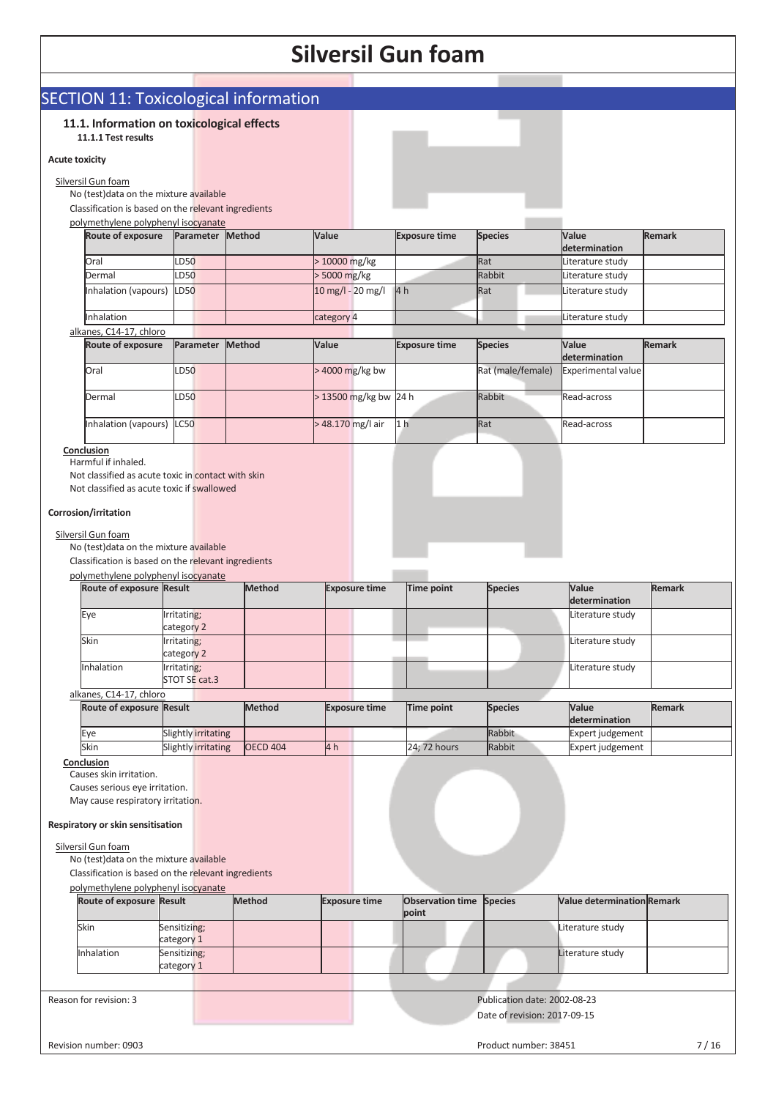### SECTION 11: Toxicological information **11.1. Information on toxicological effects 11.1.1 Test results Acute toxicity**  Silversil Gun foam No (test)data on the mixture available Classification is based on the relevant ingredients polymethylene polyphenyl isocyanate **Route of exposure Parameter Method Value Exposure time Species Value determination Remark** Oral 10000 mg/kg Rat Rat Literature study Dermal LD50 | > 5000 mg/kg Rabbit Literature study Inhalation (vapours) LD50 10 mg/l - 20 mg/l 4 h Rat Literature study Inhalation and the category 4 Literature study category 4 Literature study alkanes, C14-17, chloro **Route of exposure Parameter Method Value Exposure time Species Value determination Remark** Oral CD50 **DRIVELGE DEGALL DEGALL DEGALL DEGALL DEGALL DEGALL DEGALL DEGALL DEGALL DEGALL DEGALL DEGALL DEGALL** Dermal LD50 > 13500 mg/kg bw 24 h Rabbit Read-across Inhalation (vapours) LC50 > 48.170 mg/l air 1 h Rat Read-across **Conclusion**  Harmful if inhaled. Not classified as acute toxic in contact with skin Not classified as acute toxic if swallowed **Corrosion/irritation**  Silversil Gun foam No (test)data on the mixture available Classification is based on the relevant ingredients polymethylene polyphenyl isocyanate **Route of exposure Result Method Exposure time Time point Species Value determination Remark** Eye Irritating; category 2 Literature study Skin Irritating; category 2 Literature study Inhalation Irritating; STOT SE cat.3 Literature study alkanes, C14-17, chloro **Route of exposure Result Method Exposure time Time point Species Value determination Remark** Expert is expert in the Slightly irritating and the state of the Rabbit Expert judgement Skin Slightly irritating OECD 404 4 h 24; 72 hours Rabbit Expert judgement **Conclusion**  Causes skin irritation. Causes serious eye irritation. May cause respiratory irritation. **Respiratory or skin sensitisation**  Silversil Gun foam No (test)data on the mixture available Classification is based on the relevant ingredients polymethylene polyphenyl isocyanate **Route of exposure Result Method Exposure time Observation time point Species Value determination Remark** Skin Sensitizing; category 1 Literature study Inhalation Sensitizing; category 1 Literature study Reason for revision: 3 Publication date: 2002-08-23 Date of revision: 2017-09-15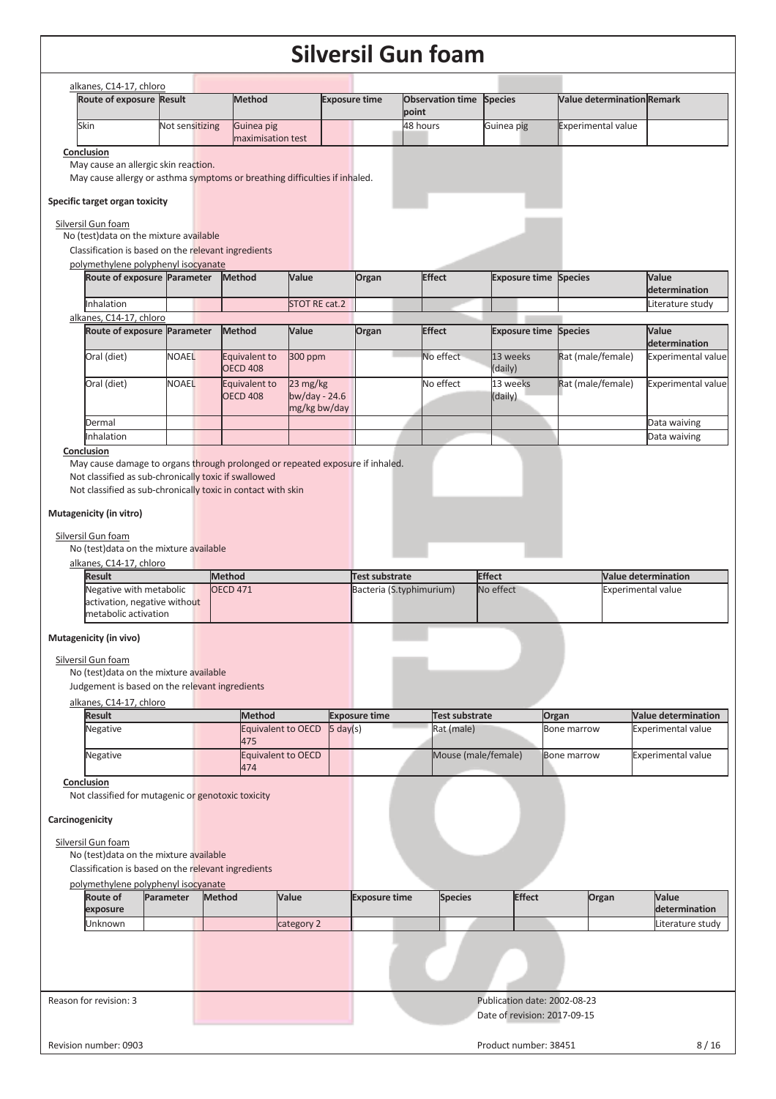| Route of exposure Result                                                                                                                                                                                                                                                                                                     | alkanes, C14-17, chloro |                 | <b>Method</b>                                                                 |                             |                    | <b>Exposure time</b> | <b>Observation time Species</b> |                                                              | <b>Value determination Remark</b> |                           |                                            |
|------------------------------------------------------------------------------------------------------------------------------------------------------------------------------------------------------------------------------------------------------------------------------------------------------------------------------|-------------------------|-----------------|-------------------------------------------------------------------------------|-----------------------------|--------------------|----------------------|---------------------------------|--------------------------------------------------------------|-----------------------------------|---------------------------|--------------------------------------------|
|                                                                                                                                                                                                                                                                                                                              |                         |                 |                                                                               |                             |                    |                      | point                           |                                                              |                                   |                           |                                            |
| Skin                                                                                                                                                                                                                                                                                                                         |                         | Not sensitizing | Guinea pig<br>maximisation test                                               |                             |                    |                      | 48 hours                        | Guinea pig                                                   | <b>Experimental value</b>         |                           |                                            |
| Conclusion                                                                                                                                                                                                                                                                                                                   |                         |                 |                                                                               |                             |                    |                      |                                 |                                                              |                                   |                           |                                            |
| May cause an allergic skin reaction.                                                                                                                                                                                                                                                                                         |                         |                 | May cause allergy or asthma symptoms or breathing difficulties if inhaled.    |                             |                    |                      |                                 |                                                              |                                   |                           |                                            |
|                                                                                                                                                                                                                                                                                                                              |                         |                 |                                                                               |                             |                    |                      |                                 |                                                              |                                   |                           |                                            |
| Specific target organ toxicity                                                                                                                                                                                                                                                                                               |                         |                 |                                                                               |                             |                    |                      |                                 |                                                              |                                   |                           |                                            |
| Silversil Gun foam                                                                                                                                                                                                                                                                                                           |                         |                 |                                                                               |                             |                    |                      |                                 |                                                              |                                   |                           |                                            |
| No (test) data on the mixture available<br>Classification is based on the relevant ingredients                                                                                                                                                                                                                               |                         |                 |                                                                               |                             |                    |                      |                                 |                                                              |                                   |                           |                                            |
| polymethylene polyphenyl isocyanate                                                                                                                                                                                                                                                                                          |                         |                 |                                                                               |                             |                    |                      |                                 |                                                              |                                   |                           |                                            |
| Route of exposure Parameter                                                                                                                                                                                                                                                                                                  |                         |                 | Method                                                                        | Value                       |                    | Organ                | <b>Effect</b>                   | <b>Exposure time</b>                                         | <b>Species</b>                    |                           | Value<br>determination                     |
| Inhalation                                                                                                                                                                                                                                                                                                                   |                         |                 |                                                                               | STOT RE cat.2               |                    |                      |                                 |                                                              |                                   |                           | Literature study                           |
| alkanes, C14-17, chloro                                                                                                                                                                                                                                                                                                      |                         |                 |                                                                               |                             |                    |                      |                                 |                                                              |                                   |                           |                                            |
| Route of exposure Parameter                                                                                                                                                                                                                                                                                                  |                         |                 | <b>Method</b>                                                                 | Value                       |                    | Organ                | <b>Effect</b>                   | <b>Exposure time</b>                                         | <b>Species</b>                    |                           | Value                                      |
| Oral (diet)                                                                                                                                                                                                                                                                                                                  |                         | <b>NOAEL</b>    | Equivalent to                                                                 | 300 ppm                     |                    |                      | No effect                       | 13 weeks                                                     | Rat (male/female)                 |                           | determination<br><b>Experimental value</b> |
|                                                                                                                                                                                                                                                                                                                              |                         |                 | <b>OECD 408</b>                                                               |                             |                    |                      |                                 | (daily)                                                      |                                   |                           |                                            |
| Oral (diet)                                                                                                                                                                                                                                                                                                                  |                         | <b>NOAEL</b>    | Equivalent to                                                                 | 23 mg/kg<br>bw/day - $24.6$ |                    |                      | No effect                       | 13 weeks                                                     | Rat (male/female)                 |                           | <b>Experimental value</b>                  |
|                                                                                                                                                                                                                                                                                                                              |                         |                 | <b>OECD 408</b>                                                               | mg/kg bw/day                |                    |                      |                                 | (daily)                                                      |                                   |                           |                                            |
| Dermal                                                                                                                                                                                                                                                                                                                       |                         |                 |                                                                               |                             |                    |                      |                                 |                                                              |                                   |                           | Data waiving                               |
| Inhalation                                                                                                                                                                                                                                                                                                                   |                         |                 |                                                                               |                             |                    |                      |                                 |                                                              |                                   |                           | Data waiving                               |
| Conclusion                                                                                                                                                                                                                                                                                                                   |                         |                 | May cause damage to organs through prolonged or repeated exposure if inhaled. |                             |                    |                      |                                 |                                                              |                                   |                           |                                            |
| alkanes, C14-17, chloro<br><b>Result</b>                                                                                                                                                                                                                                                                                     |                         |                 | <b>Method</b>                                                                 |                             |                    | Test substrate       |                                 | <b>Effect</b>                                                |                                   |                           |                                            |
| Negative with metabolic                                                                                                                                                                                                                                                                                                      |                         |                 |                                                                               |                             |                    |                      |                                 |                                                              |                                   |                           |                                            |
|                                                                                                                                                                                                                                                                                                                              |                         |                 | <b>OECD 471</b>                                                               |                             |                    |                      | Bacteria (S.typhimurium)        | No effect                                                    |                                   | <b>Experimental value</b> | <b>Value determination</b>                 |
| activation, negative without                                                                                                                                                                                                                                                                                                 |                         |                 |                                                                               |                             |                    |                      |                                 |                                                              |                                   |                           |                                            |
| metabolic activation                                                                                                                                                                                                                                                                                                         |                         |                 |                                                                               |                             |                    |                      |                                 |                                                              |                                   |                           |                                            |
|                                                                                                                                                                                                                                                                                                                              |                         |                 |                                                                               |                             |                    |                      |                                 |                                                              |                                   |                           |                                            |
|                                                                                                                                                                                                                                                                                                                              |                         |                 |                                                                               |                             |                    |                      |                                 |                                                              |                                   |                           |                                            |
|                                                                                                                                                                                                                                                                                                                              |                         |                 |                                                                               |                             |                    |                      |                                 |                                                              |                                   |                           |                                            |
|                                                                                                                                                                                                                                                                                                                              |                         |                 |                                                                               |                             |                    |                      |                                 |                                                              |                                   |                           |                                            |
| <b>Result</b>                                                                                                                                                                                                                                                                                                                |                         |                 | <b>Method</b>                                                                 |                             |                    | <b>Exposure time</b> | <b>Test substrate</b>           |                                                              | Organ                             |                           | <b>Value determination</b>                 |
| Negative                                                                                                                                                                                                                                                                                                                     |                         |                 |                                                                               | Equivalent to OECD          | $5 \text{ day}(s)$ |                      | Rat (male)                      |                                                              | <b>Bone marrow</b>                |                           | <b>Experimental value</b>                  |
| Negative                                                                                                                                                                                                                                                                                                                     |                         |                 | 475                                                                           | Equivalent to OECD          |                    |                      |                                 | Mouse (male/female)                                          | Bone marrow                       |                           | Experimental value                         |
|                                                                                                                                                                                                                                                                                                                              |                         |                 | 474                                                                           |                             |                    |                      |                                 |                                                              |                                   |                           |                                            |
|                                                                                                                                                                                                                                                                                                                              |                         |                 |                                                                               |                             |                    |                      |                                 |                                                              |                                   |                           |                                            |
|                                                                                                                                                                                                                                                                                                                              |                         |                 |                                                                               |                             |                    |                      |                                 |                                                              |                                   |                           |                                            |
|                                                                                                                                                                                                                                                                                                                              |                         |                 |                                                                               |                             |                    |                      |                                 |                                                              |                                   |                           |                                            |
|                                                                                                                                                                                                                                                                                                                              |                         |                 |                                                                               |                             |                    |                      |                                 |                                                              |                                   |                           |                                            |
| Mutagenicity (in vivo)<br>Silversil Gun foam<br>No (test) data on the mixture available<br>Judgement is based on the relevant ingredients<br>alkanes, C14-17, chloro<br>Conclusion<br>Not classified for mutagenic or genotoxic toxicity<br>Carcinogenicity<br>Silversil Gun foam<br>No (test) data on the mixture available |                         |                 |                                                                               |                             |                    |                      |                                 |                                                              |                                   |                           |                                            |
|                                                                                                                                                                                                                                                                                                                              |                         |                 |                                                                               |                             |                    |                      |                                 |                                                              |                                   |                           |                                            |
| <b>Route of</b>                                                                                                                                                                                                                                                                                                              | Parameter               |                 | <b>Method</b>                                                                 | Value                       |                    | <b>Exposure time</b> | <b>Species</b>                  | <b>Effect</b>                                                | Organ                             |                           | Value                                      |
| Classification is based on the relevant ingredients<br>polymethylene polyphenyl isocyanate<br>exposure                                                                                                                                                                                                                       |                         |                 |                                                                               |                             |                    |                      |                                 |                                                              |                                   |                           | determination                              |
| Jnknown                                                                                                                                                                                                                                                                                                                      |                         |                 |                                                                               | category 2                  |                    |                      |                                 |                                                              |                                   |                           | Literature study                           |
|                                                                                                                                                                                                                                                                                                                              |                         |                 |                                                                               |                             |                    |                      |                                 |                                                              |                                   |                           |                                            |
|                                                                                                                                                                                                                                                                                                                              |                         |                 |                                                                               |                             |                    |                      |                                 |                                                              |                                   |                           |                                            |
|                                                                                                                                                                                                                                                                                                                              |                         |                 |                                                                               |                             |                    |                      |                                 |                                                              |                                   |                           |                                            |
| Reason for revision: 3                                                                                                                                                                                                                                                                                                       |                         |                 |                                                                               |                             |                    |                      |                                 | Publication date: 2002-08-23<br>Date of revision: 2017-09-15 |                                   |                           |                                            |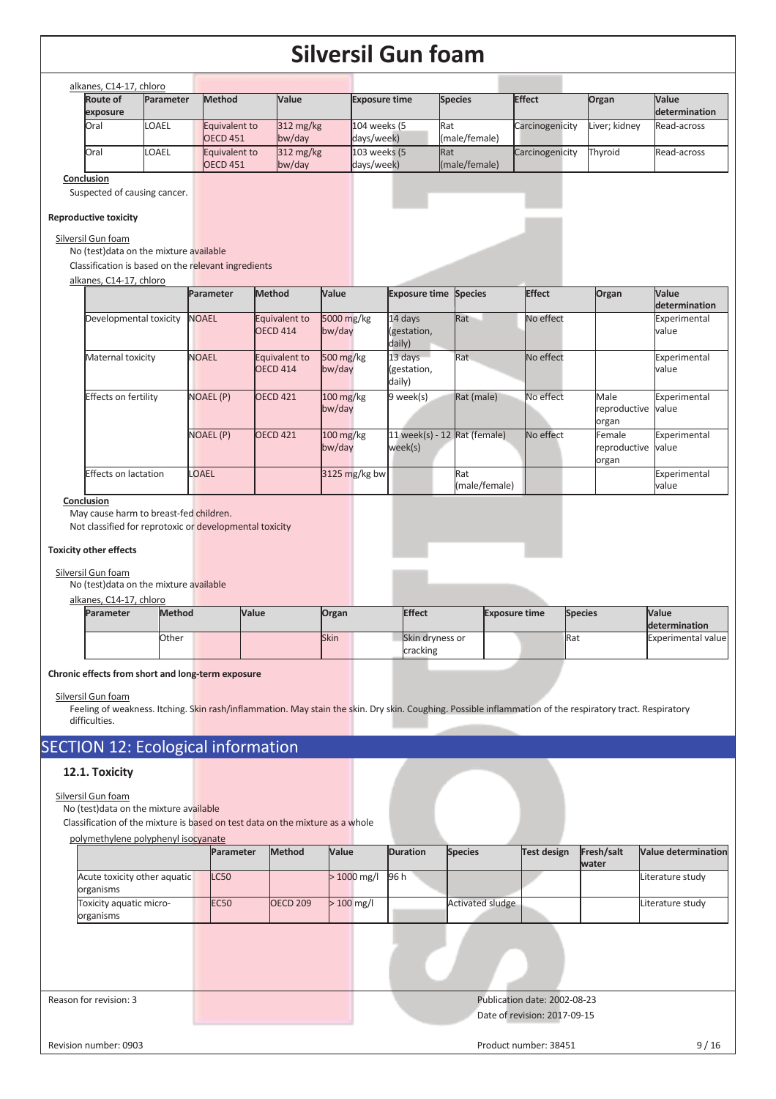| alkanes, C14-17, chloro     |              |                                  |                                  |                            |                             |                 |               |                               |
|-----------------------------|--------------|----------------------------------|----------------------------------|----------------------------|-----------------------------|-----------------|---------------|-------------------------------|
| <b>Route of</b><br>exposure | Parameter    | <b>Method</b>                    | <b>Value</b>                     | <b>Exposure time</b>       | <b>Species</b>              | <b>Effect</b>   | Organ         | <b>Value</b><br>determination |
| Oral                        | <b>LOAEL</b> | Equivalent to<br><b>OECD 451</b> | $312 \text{ mg/kg}$<br>$bw$ /day | 104 weeks (5<br>days/week) | Rat<br>(male/female)        | Carcinogenicity | Liver; kidney | Read-across                   |
| Oral                        | LOAEL        | Equivalent to<br><b>OECD 451</b> | $312 \text{ mg/kg}$<br>$bw$ /day | 103 weeks (5<br>days/week) | <b>Rat</b><br>(male/female) | Carcinogenicity | Thvroid       | Read-across                   |
| Arrest Made                 |              |                                  |                                  |                            |                             |                 |               |                               |

**Conclusion** 

Suspected of causing cancer.

### **Reproductive toxicity**

Silversil Gun foam

No (test)data on the mixture available

Classification is based on the relevant ingredients

| alkanes, C14-17, chloro |  |
|-------------------------|--|
|                         |  |

|                             | Parameter        | Method                           | <b>Value</b>          | <b>Exposure time Species</b>              |                      | <b>Effect</b> | Organ                           | <b>Value</b><br>determination |
|-----------------------------|------------------|----------------------------------|-----------------------|-------------------------------------------|----------------------|---------------|---------------------------------|-------------------------------|
| Developmental toxicity      | <b>NOAEL</b>     | Equivalent to<br><b>OECD 414</b> | 5000 mg/kg<br>bw/day  | 14 days<br>(gestation,<br>daily)          | Rat                  | No effect     |                                 | Experimental<br>value         |
| Maternal toxicity           | <b>NOAEL</b>     | Equivalent to<br><b>OECD 414</b> | 500 mg/kg<br>bw/day   | 13 days<br>(gestation,<br>daily)          | Rat                  | No effect     |                                 | Experimental<br>value         |
| <b>Effects on fertility</b> | <b>NOAEL (P)</b> | <b>OECD 421</b>                  | $100$ mg/kg<br>bw/day | 9 week(s)                                 | Rat (male)           | No effect     | Male<br>reproductive<br>organ   | Experimental<br>value         |
|                             | NOAEL (P)        | <b>OECD 421</b>                  | $100$ mg/kg<br>bw/day | 11 week(s) - 12 $Rat$ (female)<br>week(s) |                      | No effect     | Female<br>reproductive<br>organ | Experimental<br>value         |
| Effects on lactation        | LOAEL            |                                  | $3125$ mg/kg bw       |                                           | Rat<br>(male/female) |               |                                 | Experimental<br>value         |

#### **Conclusion**

May cause harm to breast-fed children.

Not classified for reprotoxic or developmental toxicity

### **Toxicity other effects**

### Silversil Gun foam

No (test)data on the mixture available

alkanes, C14-17, chloro

| <b>Parameter</b> | <b>Method</b> | Value | Organ       | <b>Effect</b>               | <b>Exposure time</b> | <b>Species</b> | Value<br>determination     |
|------------------|---------------|-------|-------------|-----------------------------|----------------------|----------------|----------------------------|
|                  | Other         |       | <b>Skin</b> | Skin dryness or<br>cracking |                      | <b>Ra</b>      | <b>Experimental valuel</b> |

#### **Chronic effects from short and long-term exposure**

Silversil Gun foam

Feeling of weakness. Itching. Skin rash/inflammation. May stain the skin. Dry skin. Coughing. Possible inflammation of the respiratory tract. Respiratory difficulties.

## SECTION 12: Ecological information

### **12.1. Toxicity**

### Silversil Gun foam

No (test)data on the mixture available

Classification of the mixture is based on test data on the mixture as a whole

|                                           | Parameter   | Method          | Value        | <b>Duration</b> | <b>Species</b>          | <b>Test design</b>                                           | Fresh/salt<br>water | <b>Value determination</b> |
|-------------------------------------------|-------------|-----------------|--------------|-----------------|-------------------------|--------------------------------------------------------------|---------------------|----------------------------|
| Acute toxicity other aquatic<br>organisms | <b>LC50</b> |                 | $>1000$ mg/l | 96 h            |                         |                                                              |                     | Literature study           |
| Toxicity aquatic micro-<br>organisms      | <b>EC50</b> | <b>OECD 209</b> | $>100$ mg/l  |                 | <b>Activated sludge</b> |                                                              |                     | Literature study           |
|                                           |             |                 |              |                 |                         |                                                              |                     |                            |
| Reason for revision: 3                    |             |                 |              |                 |                         | Publication date: 2002-08-23<br>Date of revision: 2017-09-15 |                     |                            |
| Revision number: 0903                     |             |                 |              |                 |                         | Product number: 38451                                        |                     | 9/16                       |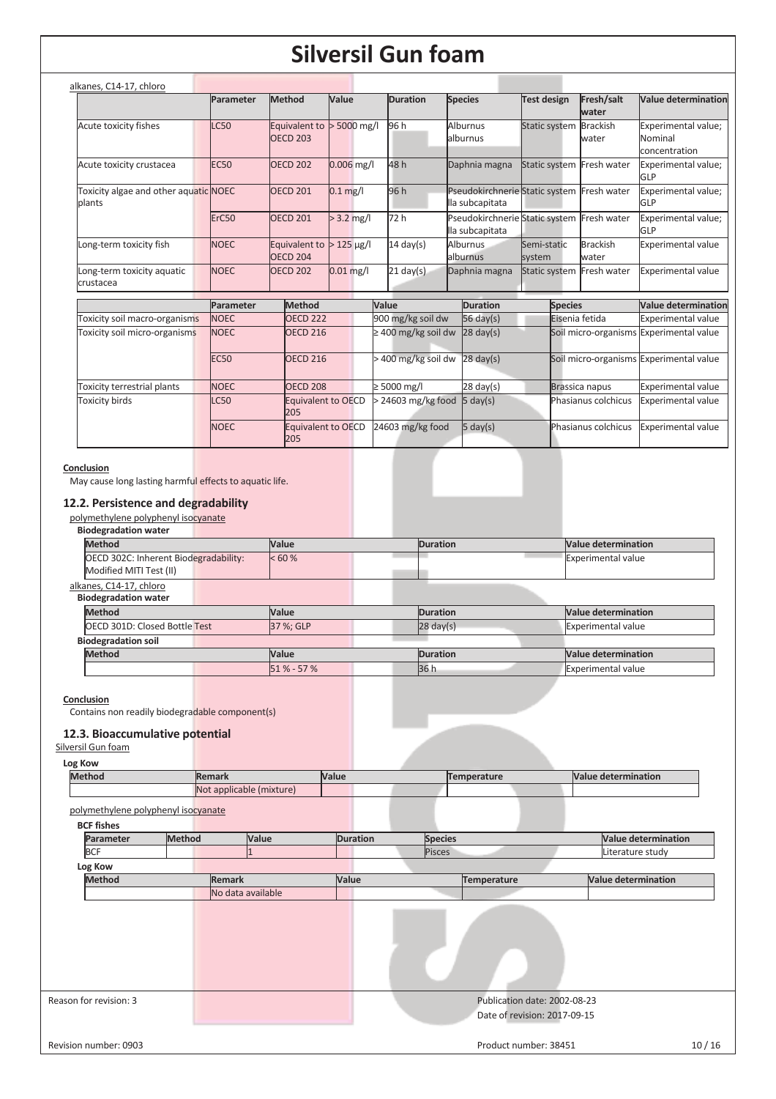|                                                 | Parameter         | Method                                         | Value           |       | <b>Duration</b>          | <b>Species</b>                                                | <b>Test design</b>     | Fresh/salt                | Value determination                             |
|-------------------------------------------------|-------------------|------------------------------------------------|-----------------|-------|--------------------------|---------------------------------------------------------------|------------------------|---------------------------|-------------------------------------------------|
|                                                 |                   |                                                |                 |       |                          |                                                               |                        | water                     |                                                 |
| Acute toxicity fishes                           | <b>LC50</b>       | Equivalent to $>$ 5000 mg/l<br><b>OECD 203</b> |                 |       | 96 h                     | <b>Alburnus</b><br>alburnus                                   | Static system Brackish | water                     | Experimental value;<br>Nominal<br>concentration |
| Acute toxicity crustacea                        | <b>EC50</b>       | <b>OECD 202</b>                                | $0.006$ mg/l    |       | 48h                      | Daphnia magna                                                 |                        | Static system Fresh water | Experimental value;<br>GLP                      |
| Toxicity algae and other aquatic NOEC<br>blants |                   | <b>OECD 201</b>                                | $0.1$ mg/l      |       | 96 h                     | Pseudokirchnerie Static system Fresh water<br>lla subcapitata |                        |                           | Experimental value;<br>GLP                      |
|                                                 | ErC <sub>50</sub> | <b>OECD 201</b>                                | $> 3.2$ mg/l    |       | 72h                      | Pseudokirchnerie Static system Fresh water<br>lla subcapitata |                        |                           | Experimental value;<br>GLP                      |
| Long-term toxicity fish                         | <b>NOEC</b>       | Equivalent to<br>OECD <sub>204</sub>           | $> 125 \mu g/l$ |       | $14 \text{ day}(s)$      | Alburnus<br>alburnus                                          | Semi-static<br>system  | <b>Brackish</b><br>water  | <b>Experimental value</b>                       |
| Long-term toxicity aquatic<br>crustacea         | <b>NOEC</b>       | <b>OECD 202</b>                                | $0.01$ mg/l     |       | $21$ day(s)              | Daphnia magna                                                 |                        | Static system Fresh water | <b>Experimental value</b>                       |
|                                                 | Parameter         | Method                                         |                 | Value |                          | <b>Duration</b>                                               | <b>Species</b>         |                           | <b>Value determination</b>                      |
| Toxicity soil macro-organisms                   | <b>NOEC</b>       | <b>OECD 222</b>                                |                 |       | 900 mg/kg soil dw        | $56 \text{ day}(s)$                                           |                        | Eisenia fetida            | <b>Experimental value</b>                       |
| Toxicity soil micro-organisms                   | <b>NOEC</b>       | <b>OECD 216</b>                                |                 |       | $\geq$ 400 mg/kg soil dw | $28 \text{ day}(s)$                                           |                        | Soil micro-organisms      | <b>Experimental value</b>                       |
|                                                 | <b>EC50</b>       | <b>OECD 216</b>                                |                 |       | > 400 mg/kg soil dw      | $28 \text{ day}(s)$                                           |                        |                           | Soil micro-organisms Experimental value         |
| Toxicity terrestrial plants                     | <b>NOEC</b>       | <b>OECD 208</b>                                |                 |       | $\geq 5000$ mg/l         | $28 \text{ day}(s)$                                           |                        | Brassica napus            | <b>Experimental value</b>                       |
| <b>Toxicity birds</b>                           | LC50              | <b>Equivalent to OECD</b><br>205               |                 |       | > 24603 mg/kg food       | $5 \text{ day}(s)$                                            |                        | Phasianus colchicus       | <b>Experimental value</b>                       |
|                                                 | <b>NOEC</b>       | <b>Equivalent to OECD</b><br>205               |                 |       | 24603 mg/kg food         | $5 \text{ day}(s)$                                            |                        | Phasianus colchicus       | Experimental value                              |

### **Conclusion**

May cause long lasting harmful effects to aquatic life.

### **12.2. Persistence and degradability**

| polymethylene polyphenyl isocyanate<br><b>Biodegradation water</b> |              |  |                     |                            |
|--------------------------------------------------------------------|--------------|--|---------------------|----------------------------|
| <b>Method</b>                                                      | <b>Value</b> |  | <b>Duration</b>     | <b>Value determination</b> |
| OECD 302C: Inherent Biodegradability:<br>Modified MITI Test (II)   | < 60 %       |  |                     | <b>Experimental value</b>  |
| alkanes, C14-17, chloro                                            |              |  |                     |                            |
| <b>Biodegradation water</b>                                        |              |  |                     |                            |
| <b>Method</b>                                                      | <b>Value</b> |  | <b>Duration</b>     | <b>Value determination</b> |
| <b>OECD 301D: Closed Bottle Test</b>                               | 37 %; GLP    |  | $28 \text{ day}(s)$ | <b>Experimental value</b>  |

| <b>Biodegradation soil</b> |  |               |  |          |  |                            |
|----------------------------|--|---------------|--|----------|--|----------------------------|
| <b>Method</b>              |  | Nalue         |  | Duration |  | <b>Nalue determination</b> |
|                            |  | $51\% - 57\%$ |  | 136 h    |  | Experimental value         |
|                            |  |               |  |          |  |                            |

### **Conclusion**

Contains non readily biodegradable component(s)

### **12.3. Bioaccumulative potential**

### Silversil Gun foam

| Log Kow                             |                          |              |             |  |                            |
|-------------------------------------|--------------------------|--------------|-------------|--|----------------------------|
| <b>Method</b>                       | <b>Remark</b>            | <b>Value</b> | Temperature |  | <b>Value determination</b> |
|                                     | Not applicable (mixture) |              |             |  |                            |
| polymethylene polyphenyl isocyanate |                          |              |             |  |                            |
| <b>BCF</b> fishes                   |                          |              |             |  |                            |

## **Parameter Method Value Duration Species Value determination**<br> **Pisces Value determination**<br> **Pisces Literature study** Pisces Literature study **Log Kow Method Remark 1988 Value Temperature Value determination**  No data available Reason for revision: 3 Publication date: 2002-08-23 Date of revision: 2017-09-15 Revision number: 0903 10 / 16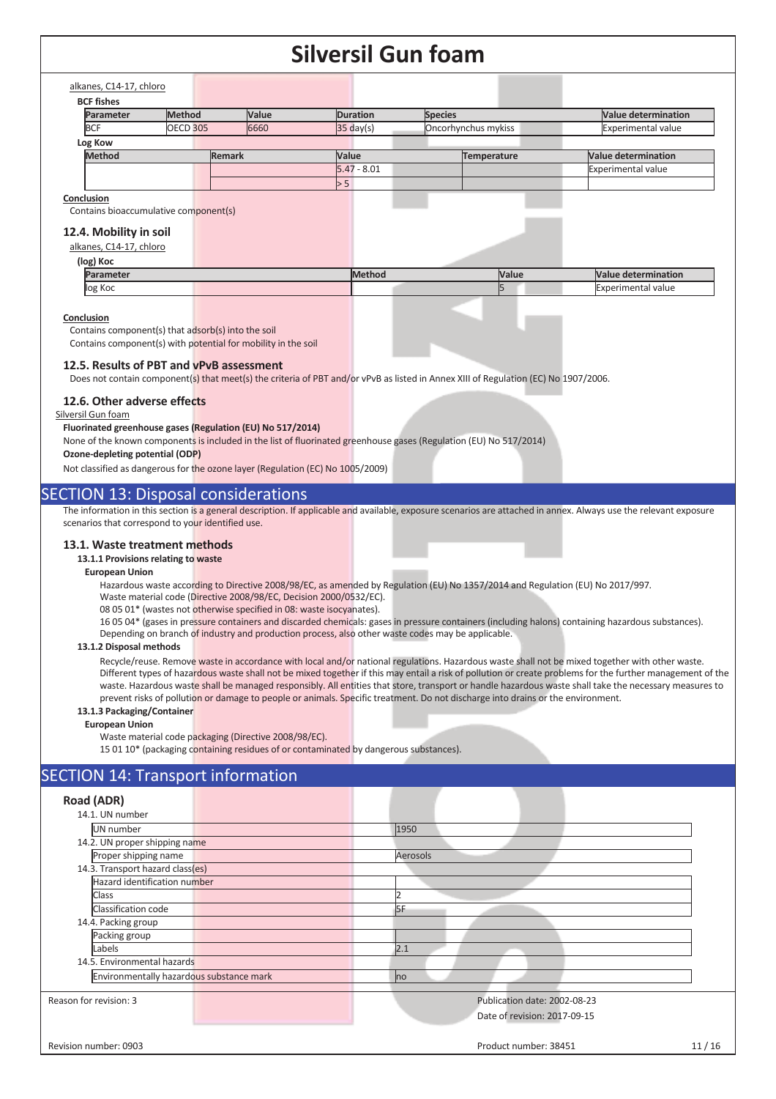### $\overline{c}$ alkanes, Chloro

| alkanes, C14-17, chloro               |                 |               |                     |                     |                            |
|---------------------------------------|-----------------|---------------|---------------------|---------------------|----------------------------|
| <b>BCF fishes</b>                     |                 |               |                     |                     |                            |
| Parameter                             | <b>Method</b>   | <b>Value</b>  | <b>Duration</b>     | <b>Species</b>      | <b>Value determination</b> |
| <b>BCF</b>                            | <b>OECD 305</b> | 6660          | $35 \text{ day}(s)$ | Oncorhynchus mykiss | <b>Experimental value</b>  |
| Log Kow                               |                 |               |                     |                     |                            |
| <b>Method</b>                         |                 | <b>Remark</b> | Value               | Temperature         | <b>Value determination</b> |
|                                       |                 |               | $5.47 - 8.01$       |                     | <b>Experimental value</b>  |
|                                       |                 |               | > 5                 |                     |                            |
| Conclusion                            |                 |               |                     |                     |                            |
| Contains bioaccumulative component(s) |                 |               |                     |                     |                            |
| 12.4. Mobility in soil                |                 |               |                     |                     |                            |
|                                       |                 |               |                     |                     |                            |
| alkanes, C14-17, chloro               |                 |               |                     |                     |                            |
| (log) Koc                             |                 |               |                     |                     |                            |
| Parameter                             |                 |               | Method              | Value               | Value determination        |
| log Koc                               |                 |               |                     | IЬ                  | <b>Experimental value</b>  |

#### **Conclusion**

Contains component(s) that adsorb(s) into the soil

Contains component(s) with potential for mobility in the soil

#### **12.5. Results of PBT and vPvB assessment**

Does not contain component(s) that meet(s) the criteria of PBT and/or vPvB as listed in Annex XIII of Regulation (EC) No 1907/2006.

### **12.6. Other adverse effects**

### Silversil Gun foam

**Fluorinated greenhouse gases (Regulation (EU) No 517/2014)** 

None of the known components is included in the list of fluorinated greenhouse gases (Regulation (EU) No 517/2014)

### **Ozone-depleting potential (ODP)**

Not classified as dangerous for the ozone layer (Regulation (EC) No 1005/2009)

### SECTION 13: Disposal considerations

The information in this section is a general description. If applicable and available, exposure scenarios are attached in annex. Always use the relevant exposure scenarios that correspond to your identified use.

#### **13.1. Waste treatment methods**

### **13.1.1 Provisions relating to waste**

#### **European Union**

Hazardous waste according to Directive 2008/98/EC, as amended by Regulation (EU) No 1357/2014 and Regulation (EU) No 2017/997.

Waste material code (Directive 2008/98/EC, Decision 2000/0532/EC).

08 05 01\* (wastes not otherwise specified in 08: waste isocyanates).

16 05 04\* (gases in pressure containers and discarded chemicals: gases in pressure containers (including halons) containing hazardous substances). Depending on branch of industry and production process, also other waste codes may be applicable.

#### **13.1.2 Disposal methods**

Recycle/reuse. Remove waste in accordance with local and/or national regulations. Hazardous waste shall not be mixed together with other waste. Different types of hazardous waste shall not be mixed together if this may entail a risk of pollution or create problems for the further management of the waste. Hazardous waste shall be managed responsibly. All entities that store, transport or handle hazardous waste shall take the necessary measures to prevent risks of pollution or damage to people or animals. Specific treatment. Do not discharge into drains or the environment.

### **13.1.3 Packaging/Container**

**European Union** 

Waste material code packaging (Directive 2008/98/EC).

15 01 10\* (packaging containing residues of or contaminated by dangerous substances).

### SECTION 14: Transport information

| Road (ADR)                               |                              |       |
|------------------------------------------|------------------------------|-------|
| 14.1. UN number                          |                              |       |
| UN number                                | 1950                         |       |
| 14.2. UN proper shipping name            |                              |       |
| Proper shipping name                     | Aerosols                     |       |
| 14.3. Transport hazard class(es)         |                              |       |
| Hazard identification number             |                              |       |
| Class                                    |                              |       |
| Classification code                      | 5F                           |       |
| 14.4. Packing group                      |                              |       |
| Packing group                            |                              |       |
| Labels                                   | 2.1                          |       |
| 14.5. Environmental hazards              |                              |       |
| Environmentally hazardous substance mark | no                           |       |
| Reason for revision: 3                   | Publication date: 2002-08-23 |       |
|                                          | Date of revision: 2017-09-15 |       |
| Revision number: 0903                    | Product number: 38451        | 11/16 |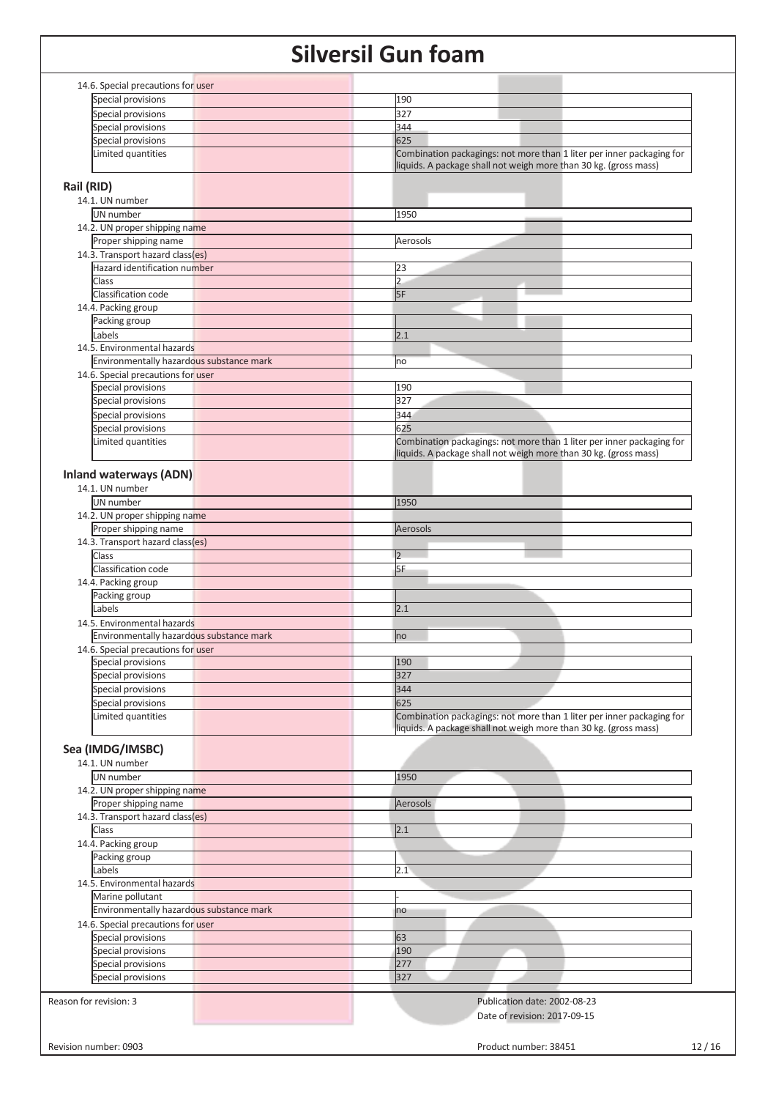| 14.6. Special precautions for user       |                                                                       |
|------------------------------------------|-----------------------------------------------------------------------|
| Special provisions                       | 190                                                                   |
| Special provisions                       | 327                                                                   |
| Special provisions                       | 344                                                                   |
| Special provisions                       | 625                                                                   |
| Limited quantities                       | Combination packagings: not more than 1 liter per inner packaging for |
|                                          | liquids. A package shall not weigh more than 30 kg. (gross mass)      |
|                                          |                                                                       |
| Rail (RID)                               |                                                                       |
| 14.1. UN number                          |                                                                       |
| UN number                                | 1950                                                                  |
| 14.2. UN proper shipping name            |                                                                       |
| Proper shipping name                     | Aerosols                                                              |
| 14.3. Transport hazard class(es)         |                                                                       |
| Hazard identification number             | 23                                                                    |
| Class                                    | $\overline{2}$                                                        |
| Classification code                      | 5F                                                                    |
| 14.4. Packing group                      |                                                                       |
| Packing group                            |                                                                       |
| Labels                                   | 2.1                                                                   |
| 14.5. Environmental hazards              |                                                                       |
| Environmentally hazardous substance mark | no                                                                    |
| 14.6. Special precautions for user       |                                                                       |
| Special provisions                       | 190                                                                   |
| Special provisions                       | 327                                                                   |
| Special provisions                       | 344                                                                   |
| Special provisions                       | 625                                                                   |
| Limited quantities                       | Combination packagings: not more than 1 liter per inner packaging for |
|                                          | liquids. A package shall not weigh more than 30 kg. (gross mass)      |
|                                          |                                                                       |
| <b>Inland waterways (ADN)</b>            |                                                                       |
| 14.1. UN number                          |                                                                       |
| UN number                                | 1950                                                                  |
| 14.2. UN proper shipping name            |                                                                       |
| Proper shipping name                     | Aerosols                                                              |
| 14.3. Transport hazard class(es)         |                                                                       |
| Class                                    | 2                                                                     |
| Classification code                      | 5F                                                                    |
| 14.4. Packing group                      |                                                                       |
| Packing group                            |                                                                       |
| Labels                                   | 2.1                                                                   |
| 14.5. Environmental hazards              |                                                                       |
| Environmentally hazardous substance mark | no                                                                    |
| 14.6. Special precautions for user       |                                                                       |
| Special provisions                       | 190                                                                   |
| Special provisions                       | 327                                                                   |
| Special provisions                       | 344                                                                   |
| Special provisions                       | 625                                                                   |
| Limited quantities                       | Combination packagings: not more than 1 liter per inner packaging for |
|                                          | liquids. A package shall not weigh more than 30 kg. (gross mass)      |
|                                          |                                                                       |
| Sea (IMDG/IMSBC)                         |                                                                       |
| 14.1. UN number                          |                                                                       |
| UN number                                | 1950                                                                  |
| 14.2. UN proper shipping name            |                                                                       |
| Proper shipping name                     | Aerosols                                                              |
| 14.3. Transport hazard class(es)         |                                                                       |
| Class                                    | 2.1                                                                   |
| 14.4. Packing group                      |                                                                       |
| Packing group                            |                                                                       |
| Labels                                   | 2.1                                                                   |
| 14.5. Environmental hazards              |                                                                       |
| Marine pollutant                         |                                                                       |
| Environmentally hazardous substance mark | no                                                                    |
| 14.6. Special precautions for user       |                                                                       |
| Special provisions                       | 63                                                                    |
|                                          | 190                                                                   |
| Special provisions                       |                                                                       |
| Special provisions                       | 277                                                                   |
| Special provisions                       | 327                                                                   |
| Reason for revision: 3                   | Publication date: 2002-08-23                                          |
|                                          |                                                                       |
|                                          | Date of revision: 2017-09-15                                          |
|                                          |                                                                       |
| Revision number: 0903                    | Product number: 38451<br>12/16                                        |
|                                          |                                                                       |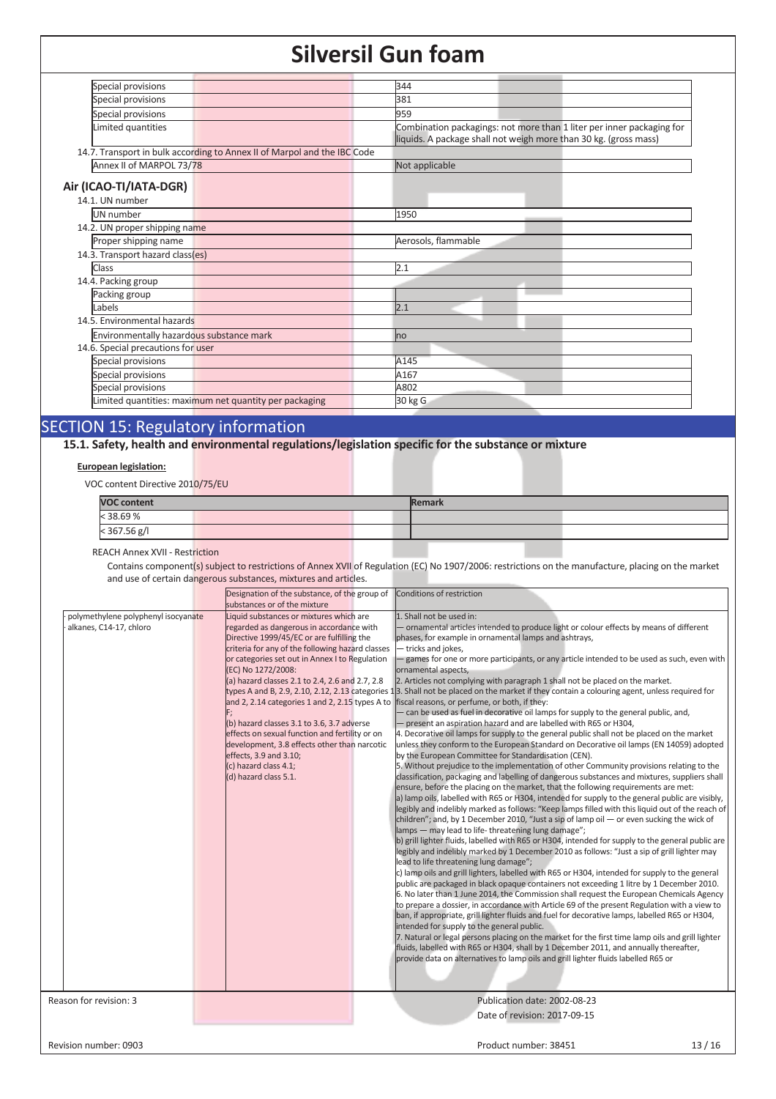| Special provisions                       |                                                                          | 344                                                                   |
|------------------------------------------|--------------------------------------------------------------------------|-----------------------------------------------------------------------|
| Special provisions                       |                                                                          | 381                                                                   |
| Special provisions                       |                                                                          | 959                                                                   |
| Limited quantities                       |                                                                          | Combination packagings: not more than 1 liter per inner packaging for |
|                                          |                                                                          | liquids. A package shall not weigh more than 30 kg. (gross mass)      |
|                                          | 14.7. Transport in bulk according to Annex II of Marpol and the IBC Code |                                                                       |
| Annex II of MARPOL 73/78                 |                                                                          | Not applicable                                                        |
|                                          |                                                                          |                                                                       |
| Air (ICAO-TI/IATA-DGR)                   |                                                                          |                                                                       |
| 14.1. UN number                          |                                                                          |                                                                       |
| UN number                                |                                                                          | 1950                                                                  |
| 14.2. UN proper shipping name            |                                                                          |                                                                       |
| Proper shipping name                     |                                                                          | Aerosols, flammable                                                   |
| 14.3. Transport hazard class(es)         |                                                                          |                                                                       |
| Class                                    |                                                                          | 2.1                                                                   |
| 14.4. Packing group                      |                                                                          |                                                                       |
| Packing group                            |                                                                          |                                                                       |
| Labels                                   |                                                                          | 2.1                                                                   |
| 14.5. Environmental hazards              |                                                                          |                                                                       |
| Environmentally hazardous substance mark |                                                                          | <b>I</b> no                                                           |
| 14.6. Special precautions for user       |                                                                          |                                                                       |
| Special provisions                       |                                                                          | A145                                                                  |
| Special provisions                       |                                                                          | A167                                                                  |
| Special provisions                       |                                                                          | A802                                                                  |
|                                          | Limited quantities: maximum net quantity per packaging                   | 30 kg G                                                               |
|                                          |                                                                          |                                                                       |

## SECTION 15: Regulatory information

**15.1. Safety, health and environmental regulations/legislation specific for the substance or mixture**

### **European legislation:**

VOC content Directive 2010/75/EU

| <b>VOC content</b> | <b>Remark</b> |  |  |  |
|--------------------|---------------|--|--|--|
| < 38.69 %          |               |  |  |  |
| $<$ 367.56 g/l     |               |  |  |  |

REACH Annex XVII - Restriction

Contains component(s) subject to restrictions of Annex XVII of Regulation (EC) No 1907/2006: restrictions on the manufacture, placing on the market and use of certain dangerous substances, mixtures and articles.

|                                                                | Designation of the substance, of the group of Conditions of restriction<br>substances or of the mixture                                                                                                                                                                                                                                                                                                                                                                                                                                                                                         |                                                                                                                                                                                                                                                                                                                                                                                                                                                                                                                                                                                                                                                                                                                                                                                                                                                                                                                                                                                                                                                                                                                                                                                                                                                                                                                                                                                                                                                                                                                                                                                                                                                                                                                                                                                                                                                                                                                                                                                                                                                                                                                                                                                                                                                                                                                                                                                                                                                                                                                                                                                                                                                                                                                                                    |
|----------------------------------------------------------------|-------------------------------------------------------------------------------------------------------------------------------------------------------------------------------------------------------------------------------------------------------------------------------------------------------------------------------------------------------------------------------------------------------------------------------------------------------------------------------------------------------------------------------------------------------------------------------------------------|----------------------------------------------------------------------------------------------------------------------------------------------------------------------------------------------------------------------------------------------------------------------------------------------------------------------------------------------------------------------------------------------------------------------------------------------------------------------------------------------------------------------------------------------------------------------------------------------------------------------------------------------------------------------------------------------------------------------------------------------------------------------------------------------------------------------------------------------------------------------------------------------------------------------------------------------------------------------------------------------------------------------------------------------------------------------------------------------------------------------------------------------------------------------------------------------------------------------------------------------------------------------------------------------------------------------------------------------------------------------------------------------------------------------------------------------------------------------------------------------------------------------------------------------------------------------------------------------------------------------------------------------------------------------------------------------------------------------------------------------------------------------------------------------------------------------------------------------------------------------------------------------------------------------------------------------------------------------------------------------------------------------------------------------------------------------------------------------------------------------------------------------------------------------------------------------------------------------------------------------------------------------------------------------------------------------------------------------------------------------------------------------------------------------------------------------------------------------------------------------------------------------------------------------------------------------------------------------------------------------------------------------------------------------------------------------------------------------------------------------------|
| polymethylene polyphenyl isocyanate<br>alkanes, C14-17, chloro | Liquid substances or mixtures which are<br>regarded as dangerous in accordance with<br>Directive 1999/45/EC or are fulfilling the<br>criteria for any of the following hazard classes<br>or categories set out in Annex I to Regulation<br>(EC) No 1272/2008:<br>(a) hazard classes 2.1 to 2.4, 2.6 and 2.7, 2.8<br>and 2, 2.14 categories 1 and 2, 2.15 types A to<br>(b) hazard classes 3.1 to 3.6, 3.7 adverse<br>effects on sexual function and fertility or on<br>development, 3.8 effects other than narcotic<br>effects, 3.9 and 3.10;<br>(c) hazard class 4.1;<br>(d) hazard class 5.1. | 1. Shall not be used in:<br>- ornamental articles intended to produce light or colour effects by means of different<br>phases, for example in ornamental lamps and ashtrays,<br>- tricks and jokes,<br>games for one or more participants, or any article intended to be used as such, even with<br>ornamental aspects,<br>2. Articles not complying with paragraph 1 shall not be placed on the market.<br>types A and B, 2.9, 2.10, 2.12, 2.13 categories 13. Shall not be placed on the market if they contain a colouring agent, unless required for<br>fiscal reasons, or perfume, or both, if they:<br>- can be used as fuel in decorative oil lamps for supply to the general public, and,<br>- present an aspiration hazard and are labelled with R65 or H304,<br>4. Decorative oil lamps for supply to the general public shall not be placed on the market<br>unless they conform to the European Standard on Decorative oil lamps (EN 14059) adopted<br>by the European Committee for Standardisation (CEN).<br>5. Without prejudice to the implementation of other Community provisions relating to the<br>classification, packaging and labelling of dangerous substances and mixtures, suppliers shall<br>ensure, before the placing on the market, that the following requirements are met:<br>a) lamp oils, labelled with R65 or H304, intended for supply to the general public are visibly,<br>legibly and indelibly marked as follows: "Keep lamps filled with this liquid out of the reach of<br>children"; and, by 1 December 2010, "Just a sip of lamp oil $-$ or even sucking the wick of<br>lamps - may lead to life-threatening lung damage";<br>b) grill lighter fluids, labelled with R65 or H304, intended for supply to the general public are<br>legibly and indelibly marked by 1 December 2010 as follows: "Just a sip of grill lighter may<br>lead to life threatening lung damage";<br>c) lamp oils and grill lighters, labelled with R65 or H304, intended for supply to the general<br>public are packaged in black opaque containers not exceeding 1 litre by 1 December 2010.<br>6. No later than 1 June 2014, the Commission shall request the European Chemicals Agency<br>to prepare a dossier, in accordance with Article 69 of the present Regulation with a view to<br>ban, if appropriate, grill lighter fluids and fuel for decorative lamps, labelled R65 or H304,<br>intended for supply to the general public.<br>7. Natural or legal persons placing on the market for the first time lamp oils and grill lighter<br>fluids, labelled with R65 or H304, shall by 1 December 2011, and annually thereafter,<br>provide data on alternatives to lamp oils and grill lighter fluids labelled R65 or |
| Reason for revision: 3                                         |                                                                                                                                                                                                                                                                                                                                                                                                                                                                                                                                                                                                 | Publication date: 2002-08-23<br>Date of revision: 2017-09-15                                                                                                                                                                                                                                                                                                                                                                                                                                                                                                                                                                                                                                                                                                                                                                                                                                                                                                                                                                                                                                                                                                                                                                                                                                                                                                                                                                                                                                                                                                                                                                                                                                                                                                                                                                                                                                                                                                                                                                                                                                                                                                                                                                                                                                                                                                                                                                                                                                                                                                                                                                                                                                                                                       |

Revision number: 0903 13 / 16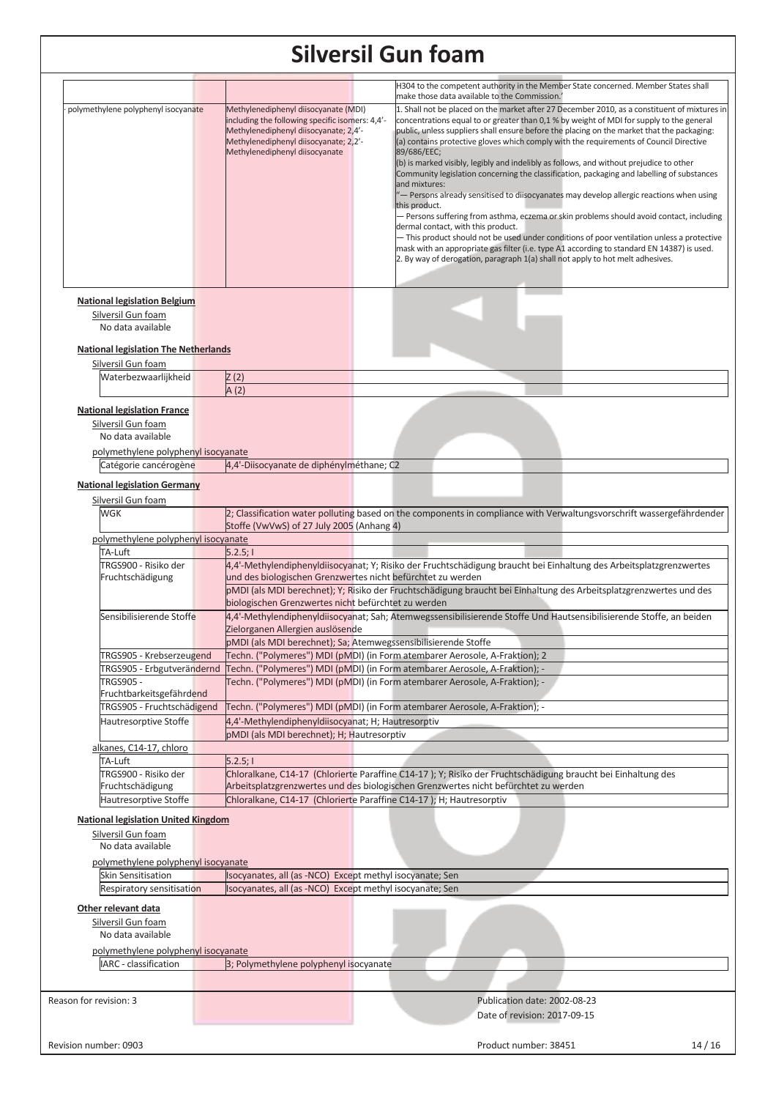|                                                        |                                                                                                    | H304 to the competent authority in the Member State concerned. Member States shall                                                            |
|--------------------------------------------------------|----------------------------------------------------------------------------------------------------|-----------------------------------------------------------------------------------------------------------------------------------------------|
|                                                        | Methylenediphenyl diisocyanate (MDI)                                                               | make those data available to the Commission.'<br>1. Shall not be placed on the market after 27 December 2010, as a constituent of mixtures in |
| polymethylene polyphenyl isocyanate                    | including the following specific isomers: 4,4'-                                                    | concentrations equal to or greater than 0,1 % by weight of MDI for supply to the general                                                      |
|                                                        | Methylenediphenyl diisocyanate; 2,4'-                                                              | public, unless suppliers shall ensure before the placing on the market that the packaging:                                                    |
|                                                        | Methylenediphenyl diisocyanate; 2,2'-                                                              | (a) contains protective gloves which comply with the requirements of Council Directive                                                        |
|                                                        | Methylenediphenyl diisocyanate                                                                     | 89/686/EEC;                                                                                                                                   |
|                                                        |                                                                                                    | (b) is marked visibly, legibly and indelibly as follows, and without prejudice to other                                                       |
|                                                        |                                                                                                    | Community legislation concerning the classification, packaging and labelling of substances<br>and mixtures:                                   |
|                                                        |                                                                                                    | "- Persons already sensitised to diisocyanates may develop allergic reactions when using                                                      |
|                                                        |                                                                                                    | this product.                                                                                                                                 |
|                                                        |                                                                                                    | - Persons suffering from asthma, eczema or skin problems should avoid contact, including                                                      |
|                                                        |                                                                                                    | dermal contact, with this product.<br>- This product should not be used under conditions of poor ventilation unless a protective              |
|                                                        |                                                                                                    | mask with an appropriate gas filter (i.e. type A1 according to standard EN 14387) is used.                                                    |
|                                                        |                                                                                                    | 2. By way of derogation, paragraph 1(a) shall not apply to hot melt adhesives.                                                                |
|                                                        |                                                                                                    |                                                                                                                                               |
|                                                        |                                                                                                    |                                                                                                                                               |
| <b>National legislation Belgium</b>                    |                                                                                                    |                                                                                                                                               |
| Silversil Gun foam                                     |                                                                                                    |                                                                                                                                               |
| No data available                                      |                                                                                                    |                                                                                                                                               |
|                                                        |                                                                                                    |                                                                                                                                               |
| <b>National legislation The Netherlands</b>            |                                                                                                    |                                                                                                                                               |
| Silversil Gun foam                                     |                                                                                                    |                                                                                                                                               |
| Waterbezwaarlijkheid                                   | Z(2)                                                                                               |                                                                                                                                               |
|                                                        | A(2)                                                                                               |                                                                                                                                               |
| <b>National legislation France</b>                     |                                                                                                    |                                                                                                                                               |
| Silversil Gun foam                                     |                                                                                                    |                                                                                                                                               |
| No data available                                      |                                                                                                    |                                                                                                                                               |
| polymethylene polyphenyl isocyanate                    |                                                                                                    |                                                                                                                                               |
| Catégorie cancérogène                                  | 4,4'-Diisocyanate de diphénylméthane; C2                                                           |                                                                                                                                               |
|                                                        |                                                                                                    |                                                                                                                                               |
| <b>National legislation Germany</b>                    |                                                                                                    |                                                                                                                                               |
| Silversil Gun foam                                     |                                                                                                    |                                                                                                                                               |
| WGK                                                    |                                                                                                    | 2; Classification water polluting based on the components in compliance with Verwaltungsvorschrift wassergefährdender                         |
|                                                        | Stoffe (VwVwS) of 27 July 2005 (Anhang 4)                                                          |                                                                                                                                               |
| polymethylene polyphenyl isocyanate                    |                                                                                                    |                                                                                                                                               |
| TA-Luft                                                | 5.2.5;1                                                                                            |                                                                                                                                               |
| TRGS900 - Risiko der                                   |                                                                                                    | 4,4'-Methylendiphenyldiisocyanat; Y; Risiko der Fruchtschädigung braucht bei Einhaltung des Arbeitsplatzgrenzwertes                           |
| Fruchtschädigung                                       | und des biologischen Grenzwertes nicht befürchtet zu werden                                        |                                                                                                                                               |
|                                                        | biologischen Grenzwertes nicht befürchtet zu werden                                                | pMDI (als MDI berechnet); Y; Risiko der Fruchtschädigung braucht bei Einhaltung des Arbeitsplatzgrenzwertes und des                           |
|                                                        |                                                                                                    |                                                                                                                                               |
| Sensibilisierende Stoffe                               |                                                                                                    | 4,4'-Methylendiphenyldiisocyanat; Sah; Atemwegssensibilisierende Stoffe Und Hautsensibilisierende Stoffe, an beiden                           |
|                                                        | Zielorganen Allergien auslösende<br>pMDI (als MDI berechnet); Sa; Atemwegssensibilisierende Stoffe |                                                                                                                                               |
|                                                        |                                                                                                    |                                                                                                                                               |
| TRGS905 - Krebserzeugend<br>TRGS905 - Erbgutverändernd |                                                                                                    | Techn. ("Polymeres") MDI (pMDI) (in Form atembarer Aerosole, A-Fraktion); 2                                                                   |
|                                                        |                                                                                                    | Techn. ("Polymeres") MDI (pMDI) (in Form atembarer Aerosole, A-Fraktion); -                                                                   |
| <b>TRGS905 -</b><br>Fruchtbarkeitsgefährdend           |                                                                                                    | Techn. ("Polymeres") MDI (pMDI) (in Form atembarer Aerosole, A-Fraktion); -                                                                   |
| TRGS905 - Fruchtschädigend                             |                                                                                                    | Techn. ("Polymeres") MDI (pMDI) (in Form atembarer Aerosole, A-Fraktion); -                                                                   |
| Hautresorptive Stoffe                                  | 4,4'-Methylendiphenyldiisocyanat; H; Hautresorptiv                                                 |                                                                                                                                               |
|                                                        | pMDI (als MDI berechnet); H; Hautresorptiv                                                         |                                                                                                                                               |
| alkanes, C14-17, chloro                                |                                                                                                    |                                                                                                                                               |
| TA-Luft                                                | 5.2.5;                                                                                             |                                                                                                                                               |
| TRGS900 - Risiko der                                   |                                                                                                    | Chloralkane, C14-17 (Chlorierte Paraffine C14-17); Y; Risiko der Fruchtschädigung braucht bei Einhaltung des                                  |
| Fruchtschädigung                                       |                                                                                                    | Arbeitsplatzgrenzwertes und des biologischen Grenzwertes nicht befürchtet zu werden                                                           |
| Hautresorptive Stoffe                                  | Chloralkane, C14-17 (Chlorierte Paraffine C14-17); H; Hautresorptiv                                |                                                                                                                                               |
|                                                        |                                                                                                    |                                                                                                                                               |
| <b>National legislation United Kingdom</b>             |                                                                                                    |                                                                                                                                               |
| Silversil Gun foam                                     |                                                                                                    |                                                                                                                                               |
| No data available                                      |                                                                                                    |                                                                                                                                               |
| polymethylene polyphenyl isocyanate                    |                                                                                                    |                                                                                                                                               |
| <b>Skin Sensitisation</b>                              | Isocyanates, all (as -NCO) Except methyl isocyanate; Sen                                           |                                                                                                                                               |
| Respiratory sensitisation                              | Isocyanates, all (as -NCO) Except methyl isocyanate; Sen                                           |                                                                                                                                               |
| Other relevant data                                    |                                                                                                    |                                                                                                                                               |
| Silversil Gun foam                                     |                                                                                                    |                                                                                                                                               |
| No data available                                      |                                                                                                    |                                                                                                                                               |
|                                                        |                                                                                                    |                                                                                                                                               |
| polymethylene polyphenyl isocyanate                    |                                                                                                    |                                                                                                                                               |
| IARC - classification                                  | 3; Polymethylene polyphenyl isocyanate                                                             |                                                                                                                                               |
|                                                        |                                                                                                    |                                                                                                                                               |
| Reason for revision: 3                                 |                                                                                                    | Publication date: 2002-08-23                                                                                                                  |
|                                                        |                                                                                                    | Date of revision: 2017-09-15                                                                                                                  |
|                                                        |                                                                                                    |                                                                                                                                               |
| Revision number: 0903                                  |                                                                                                    | Product number: 38451<br>14/16                                                                                                                |
|                                                        |                                                                                                    |                                                                                                                                               |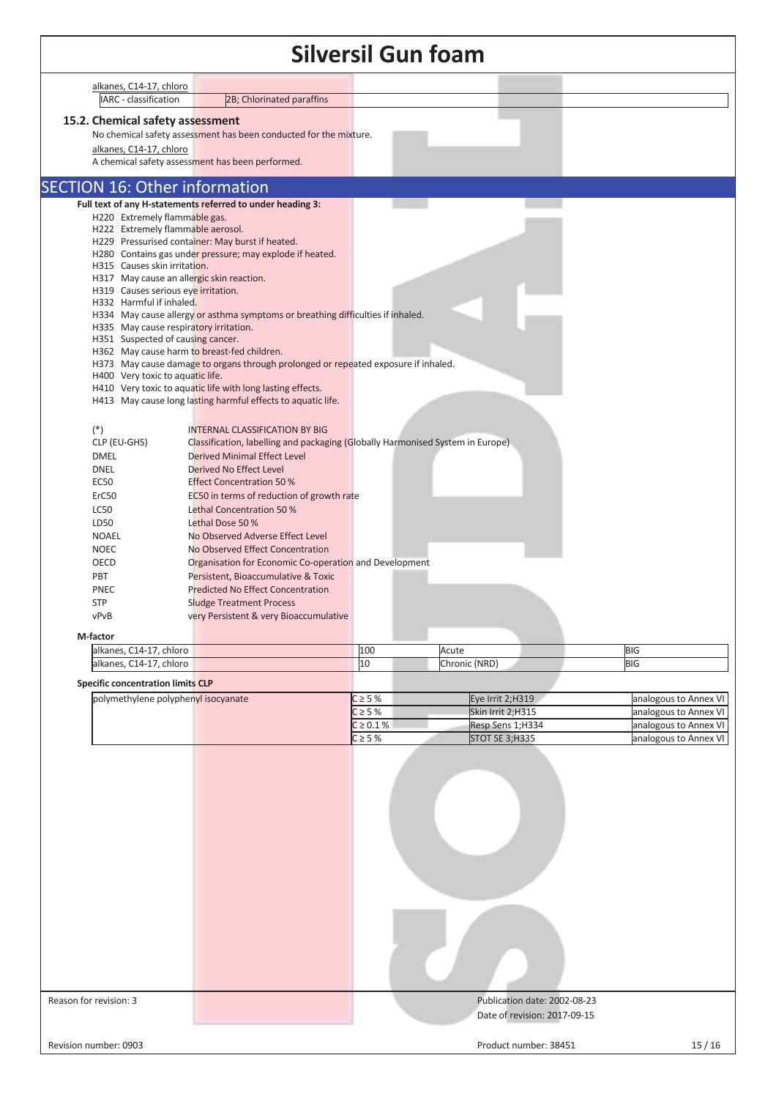| <b>Silversil Gun foam</b> |                                                                                 |                                                                                                                         |                |                       |                              |                          |  |  |
|---------------------------|---------------------------------------------------------------------------------|-------------------------------------------------------------------------------------------------------------------------|----------------|-----------------------|------------------------------|--------------------------|--|--|
|                           | alkanes, C14-17, chloro                                                         |                                                                                                                         |                |                       |                              |                          |  |  |
|                           | <b>ARC</b> - classification                                                     | 2B; Chlorinated paraffins                                                                                               |                |                       |                              |                          |  |  |
|                           | 15.2. Chemical safety assessment                                                | No chemical safety assessment has been conducted for the mixture.                                                       |                |                       |                              |                          |  |  |
|                           | alkanes, C14-17, chloro                                                         | A chemical safety assessment has been performed.                                                                        |                |                       |                              |                          |  |  |
|                           | <b>SECTION 16: Other information</b>                                            |                                                                                                                         |                |                       |                              |                          |  |  |
|                           |                                                                                 | Full text of any H-statements referred to under heading 3:                                                              |                |                       |                              |                          |  |  |
|                           | H220 Extremely flammable gas.<br>H222 Extremely flammable aerosol.              |                                                                                                                         |                |                       |                              |                          |  |  |
|                           |                                                                                 | H229 Pressurised container: May burst if heated.                                                                        |                |                       |                              |                          |  |  |
|                           | H315 Causes skin irritation.                                                    | H280 Contains gas under pressure; may explode if heated.                                                                |                |                       |                              |                          |  |  |
|                           | H317 May cause an allergic skin reaction.                                       |                                                                                                                         |                |                       |                              |                          |  |  |
|                           | H319 Causes serious eye irritation.<br>H332 Harmful if inhaled.                 |                                                                                                                         |                |                       |                              |                          |  |  |
|                           |                                                                                 | H334 May cause allergy or asthma symptoms or breathing difficulties if inhaled.                                         |                |                       |                              |                          |  |  |
|                           | H335 May cause respiratory irritation.<br>H351 Suspected of causing cancer.     |                                                                                                                         |                |                       |                              |                          |  |  |
|                           |                                                                                 | H362 May cause harm to breast-fed children.                                                                             |                |                       |                              |                          |  |  |
|                           | H400 Very toxic to aquatic life.                                                | H373 May cause damage to organs through prolonged or repeated exposure if inhaled.                                      |                |                       |                              |                          |  |  |
|                           |                                                                                 | H410 Very toxic to aquatic life with long lasting effects.                                                              |                |                       |                              |                          |  |  |
|                           |                                                                                 | H413 May cause long lasting harmful effects to aquatic life.                                                            |                |                       |                              |                          |  |  |
|                           |                                                                                 |                                                                                                                         |                |                       |                              |                          |  |  |
|                           | $(*)$<br>CLP (EU-GHS)                                                           | <b>INTERNAL CLASSIFICATION BY BIG</b><br>Classification, labelling and packaging (Globally Harmonised System in Europe) |                |                       |                              |                          |  |  |
|                           | <b>DMEL</b>                                                                     | <b>Derived Minimal Effect Level</b>                                                                                     |                |                       |                              |                          |  |  |
|                           | <b>DNEL</b>                                                                     | Derived No Effect Level                                                                                                 |                |                       |                              |                          |  |  |
|                           | <b>EC50</b>                                                                     | <b>Effect Concentration 50 %</b>                                                                                        |                |                       |                              |                          |  |  |
|                           | ErC50<br><b>LC50</b>                                                            | EC50 in terms of reduction of growth rate<br>Lethal Concentration 50 %                                                  |                |                       |                              |                          |  |  |
|                           | LD50                                                                            | Lethal Dose 50 %                                                                                                        |                |                       |                              |                          |  |  |
|                           | <b>NOAEL</b>                                                                    | No Observed Adverse Effect Level                                                                                        |                |                       |                              |                          |  |  |
|                           | <b>NOEC</b>                                                                     | No Observed Effect Concentration                                                                                        |                |                       |                              |                          |  |  |
|                           | OECD<br>PBT                                                                     | Organisation for Economic Co-operation and Development<br>Persistent, Bioaccumulative & Toxic                           |                |                       |                              |                          |  |  |
|                           | PNEC                                                                            | <b>Predicted No Effect Concentration</b>                                                                                |                |                       |                              |                          |  |  |
|                           | <b>STP</b>                                                                      | <b>Sludge Treatment Process</b>                                                                                         |                |                       |                              |                          |  |  |
|                           | vPvB                                                                            | very Persistent & very Bioaccumulative                                                                                  |                |                       |                              |                          |  |  |
|                           | M-factor                                                                        |                                                                                                                         |                |                       |                              |                          |  |  |
|                           | alkanes, C14-17, chloro<br>alkanes, C14-17, chloro                              |                                                                                                                         | 100<br>10      | Acute                 |                              | <b>BIG</b><br><b>BIG</b> |  |  |
|                           |                                                                                 |                                                                                                                         |                | Chronic (NRD)         |                              |                          |  |  |
|                           | <b>Specific concentration limits CLP</b><br>polymethylene polyphenyl isocyanate |                                                                                                                         | $C \geq 5%$    | Eye Irrit 2;H319      |                              | analogous to Annex VI    |  |  |
|                           |                                                                                 |                                                                                                                         | $C \geq 5%$    | Skin Irrit 2;H315     |                              | analogous to Annex VI    |  |  |
|                           |                                                                                 |                                                                                                                         | $C \ge 0.1 \%$ | Resp Sens 1;H334      |                              | analogous to Annex VI    |  |  |
|                           |                                                                                 |                                                                                                                         | $C \geq 5%$    | <b>STOT SE 3;H335</b> |                              | analogous to Annex VI    |  |  |
|                           |                                                                                 |                                                                                                                         |                |                       |                              |                          |  |  |
|                           |                                                                                 |                                                                                                                         |                |                       |                              |                          |  |  |
|                           |                                                                                 |                                                                                                                         |                |                       |                              |                          |  |  |
|                           |                                                                                 |                                                                                                                         |                |                       |                              |                          |  |  |
|                           |                                                                                 |                                                                                                                         |                |                       |                              |                          |  |  |
|                           |                                                                                 |                                                                                                                         |                |                       |                              |                          |  |  |
|                           |                                                                                 |                                                                                                                         |                |                       |                              |                          |  |  |
|                           |                                                                                 |                                                                                                                         |                |                       |                              |                          |  |  |
|                           |                                                                                 |                                                                                                                         |                |                       |                              |                          |  |  |
|                           |                                                                                 |                                                                                                                         |                |                       |                              |                          |  |  |
|                           |                                                                                 |                                                                                                                         |                |                       |                              |                          |  |  |
|                           |                                                                                 |                                                                                                                         |                |                       |                              |                          |  |  |
|                           |                                                                                 |                                                                                                                         |                |                       |                              |                          |  |  |
|                           |                                                                                 |                                                                                                                         |                |                       |                              |                          |  |  |
| Reason for revision: 3    |                                                                                 |                                                                                                                         |                |                       | Publication date: 2002-08-23 |                          |  |  |
|                           |                                                                                 |                                                                                                                         |                |                       | Date of revision: 2017-09-15 |                          |  |  |
|                           |                                                                                 |                                                                                                                         |                |                       |                              |                          |  |  |
|                           | Revision number: 0903                                                           |                                                                                                                         |                |                       | Product number: 38451        | 15/16                    |  |  |